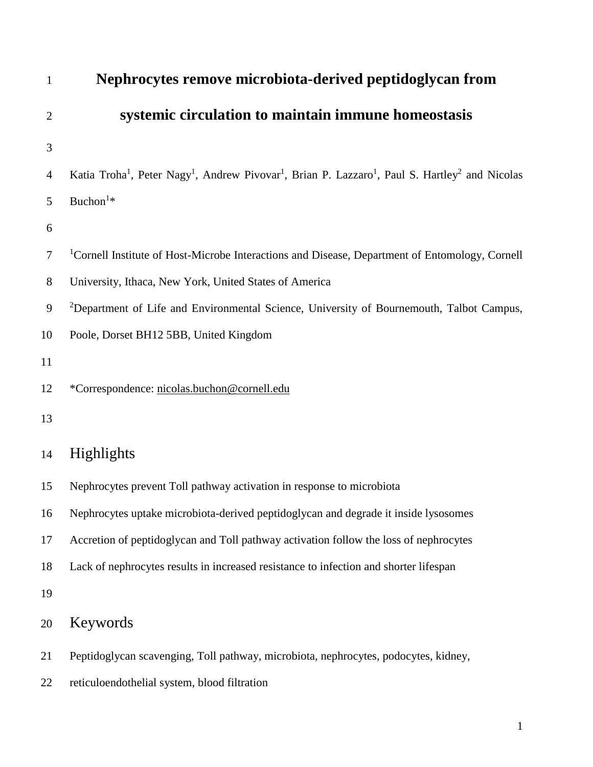| $\mathbf{1}$   | Nephrocytes remove microbiota-derived peptidoglycan from                                                                                                    |
|----------------|-------------------------------------------------------------------------------------------------------------------------------------------------------------|
| $\overline{2}$ | systemic circulation to maintain immune homeostasis                                                                                                         |
| 3              |                                                                                                                                                             |
| 4              | Katia Troha <sup>1</sup> , Peter Nagy <sup>1</sup> , Andrew Pivovar <sup>1</sup> , Brian P. Lazzaro <sup>1</sup> , Paul S. Hartley <sup>2</sup> and Nicolas |
| 5              | Buchon <sup>1</sup> *                                                                                                                                       |
| 6              |                                                                                                                                                             |
| 7              | <sup>1</sup> Cornell Institute of Host-Microbe Interactions and Disease, Department of Entomology, Cornell                                                  |
| 8              | University, Ithaca, New York, United States of America                                                                                                      |
| 9              | <sup>2</sup> Department of Life and Environmental Science, University of Bournemouth, Talbot Campus,                                                        |
| 10             | Poole, Dorset BH12 5BB, United Kingdom                                                                                                                      |
| 11             |                                                                                                                                                             |
| 12             | *Correspondence: nicolas.buchon@cornell.edu                                                                                                                 |
| 13             |                                                                                                                                                             |
| 14             | Highlights                                                                                                                                                  |
| 15             | Nephrocytes prevent Toll pathway activation in response to microbiota                                                                                       |
| 16             | Nephrocytes uptake microbiota-derived peptidoglycan and degrade it inside lysosomes                                                                         |
| 17             | Accretion of peptidoglycan and Toll pathway activation follow the loss of nephrocytes                                                                       |
| 18             | Lack of nephrocytes results in increased resistance to infection and shorter lifespan                                                                       |
| 19             |                                                                                                                                                             |
| 20             | Keywords                                                                                                                                                    |
| 21             | Peptidoglycan scavenging, Toll pathway, microbiota, nephrocytes, podocytes, kidney,                                                                         |
| 22             | reticuloendothelial system, blood filtration                                                                                                                |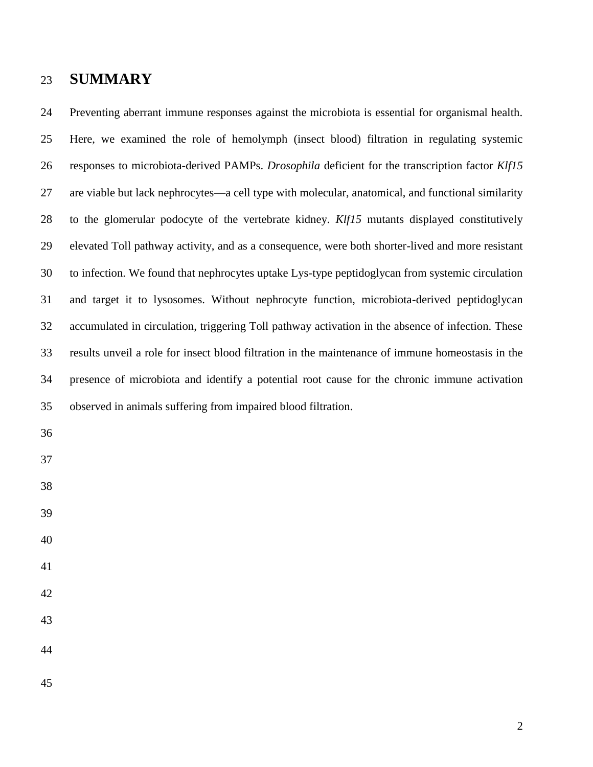# **SUMMARY**

 Preventing aberrant immune responses against the microbiota is essential for organismal health. Here, we examined the role of hemolymph (insect blood) filtration in regulating systemic responses to microbiota-derived PAMPs. *Drosophila* deficient for the transcription factor *Klf15* are viable but lack nephrocytes—a cell type with molecular, anatomical, and functional similarity to the glomerular podocyte of the vertebrate kidney. *Klf15* mutants displayed constitutively elevated Toll pathway activity, and as a consequence, were both shorter-lived and more resistant to infection. We found that nephrocytes uptake Lys-type peptidoglycan from systemic circulation and target it to lysosomes. Without nephrocyte function, microbiota-derived peptidoglycan accumulated in circulation, triggering Toll pathway activation in the absence of infection. These results unveil a role for insect blood filtration in the maintenance of immune homeostasis in the presence of microbiota and identify a potential root cause for the chronic immune activation observed in animals suffering from impaired blood filtration.

- 
- 
- 
- 
- 
- 
- 
- 
- 
-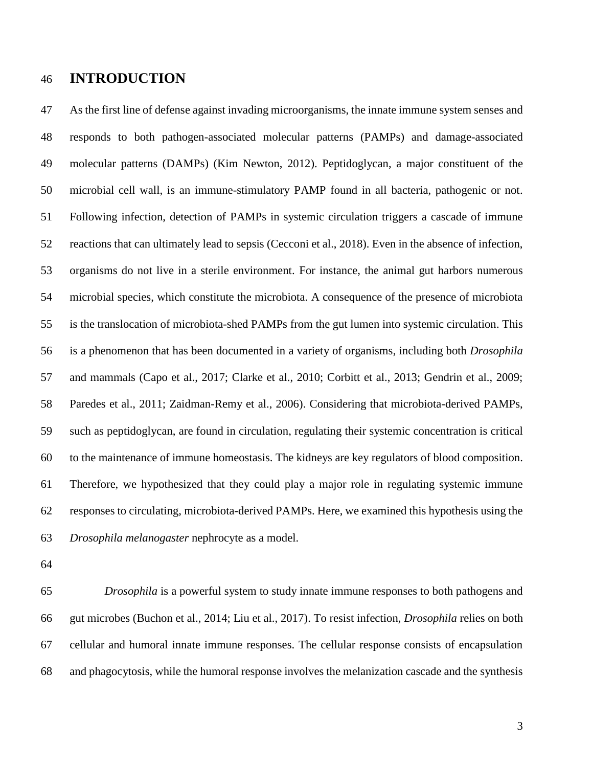# **INTRODUCTION**

 As the first line of defense against invading microorganisms, the innate immune system senses and responds to both pathogen-associated molecular patterns (PAMPs) and damage-associated molecular patterns (DAMPs) (Kim Newton, 2012). Peptidoglycan, a major constituent of the microbial cell wall, is an immune-stimulatory PAMP found in all bacteria, pathogenic or not. Following infection, detection of PAMPs in systemic circulation triggers a cascade of immune reactions that can ultimately lead to sepsis (Cecconi et al., 2018). Even in the absence of infection, organisms do not live in a sterile environment. For instance, the animal gut harbors numerous microbial species, which constitute the microbiota. A consequence of the presence of microbiota is the translocation of microbiota-shed PAMPs from the gut lumen into systemic circulation. This is a phenomenon that has been documented in a variety of organisms, including both *Drosophila* and mammals (Capo et al., 2017; Clarke et al., 2010; Corbitt et al., 2013; Gendrin et al., 2009; Paredes et al., 2011; Zaidman-Remy et al., 2006). Considering that microbiota-derived PAMPs, such as peptidoglycan, are found in circulation, regulating their systemic concentration is critical to the maintenance of immune homeostasis. The kidneys are key regulators of blood composition. Therefore, we hypothesized that they could play a major role in regulating systemic immune responses to circulating, microbiota-derived PAMPs. Here, we examined this hypothesis using the *Drosophila melanogaster* nephrocyte as a model.

 *Drosophila* is a powerful system to study innate immune responses to both pathogens and gut microbes (Buchon et al., 2014; Liu et al., 2017). To resist infection, *Drosophila* relies on both cellular and humoral innate immune responses. The cellular response consists of encapsulation and phagocytosis, while the humoral response involves the melanization cascade and the synthesis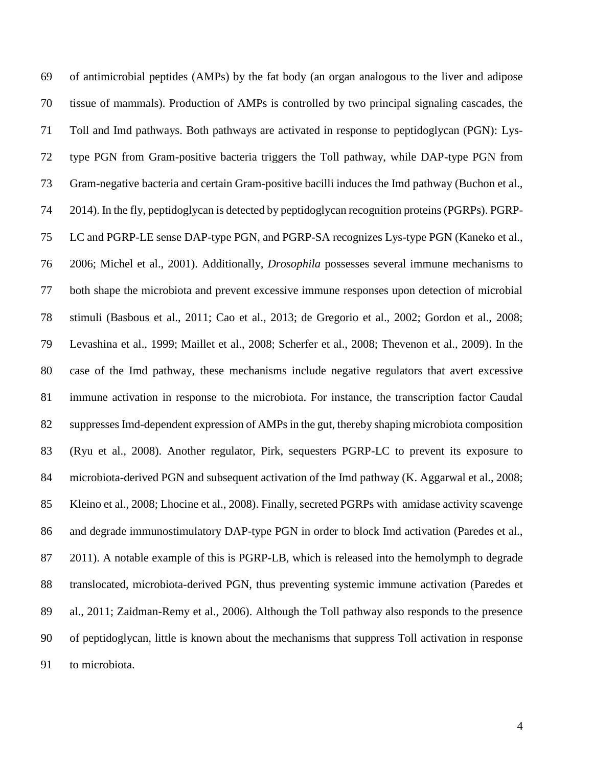of antimicrobial peptides (AMPs) by the fat body (an organ analogous to the liver and adipose tissue of mammals). Production of AMPs is controlled by two principal signaling cascades, the Toll and Imd pathways. Both pathways are activated in response to peptidoglycan (PGN): Lys- type PGN from Gram-positive bacteria triggers the Toll pathway, while DAP-type PGN from Gram-negative bacteria and certain Gram-positive bacilli induces the Imd pathway (Buchon et al., 2014). In the fly, peptidoglycan is detected by peptidoglycan recognition proteins (PGRPs). PGRP- LC and PGRP-LE sense DAP-type PGN, and PGRP-SA recognizes Lys-type PGN (Kaneko et al., 2006; Michel et al., 2001). Additionally*, Drosophila* possesses several immune mechanisms to both shape the microbiota and prevent excessive immune responses upon detection of microbial stimuli (Basbous et al., 2011; Cao et al., 2013; de Gregorio et al., 2002; Gordon et al., 2008; Levashina et al., 1999; Maillet et al., 2008; Scherfer et al., 2008; Thevenon et al., 2009). In the case of the Imd pathway, these mechanisms include negative regulators that avert excessive immune activation in response to the microbiota. For instance, the transcription factor Caudal suppresses Imd-dependent expression of AMPs in the gut, thereby shaping microbiota composition (Ryu et al., 2008). Another regulator, Pirk, sequesters PGRP-LC to prevent its exposure to microbiota-derived PGN and subsequent activation of the Imd pathway (K. Aggarwal et al., 2008; Kleino et al., 2008; Lhocine et al., 2008). Finally, secreted PGRPs with amidase activity scavenge and degrade immunostimulatory DAP-type PGN in order to block Imd activation (Paredes et al., 2011). A notable example of this is PGRP-LB, which is released into the hemolymph to degrade translocated, microbiota-derived PGN, thus preventing systemic immune activation (Paredes et al., 2011; Zaidman-Remy et al., 2006). Although the Toll pathway also responds to the presence of peptidoglycan, little is known about the mechanisms that suppress Toll activation in response to microbiota.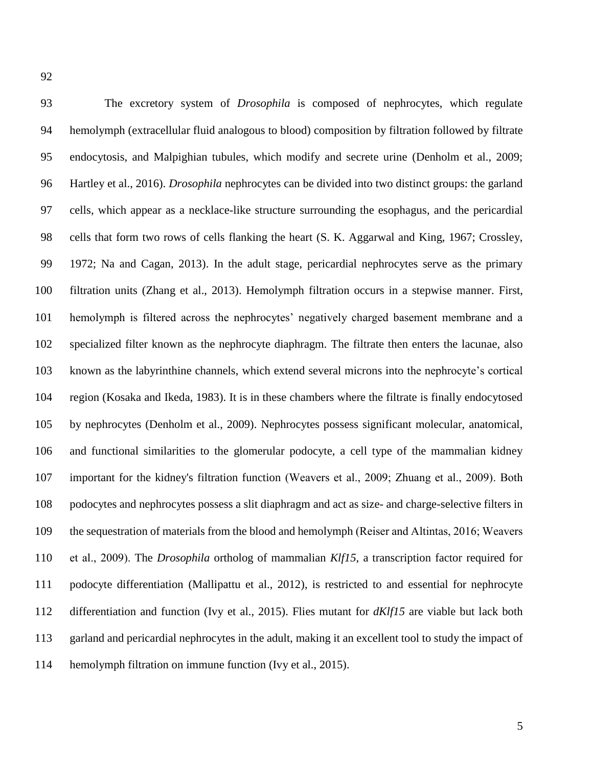The excretory system of *Drosophila* is composed of nephrocytes, which regulate hemolymph (extracellular fluid analogous to blood) composition by filtration followed by filtrate endocytosis, and Malpighian tubules, which modify and secrete urine (Denholm et al., 2009; Hartley et al., 2016). *Drosophila* nephrocytes can be divided into two distinct groups: the garland cells, which appear as a necklace-like structure surrounding the esophagus, and the pericardial cells that form two rows of cells flanking the heart (S. K. Aggarwal and King, 1967; Crossley, 1972; Na and Cagan, 2013). In the adult stage, pericardial nephrocytes serve as the primary filtration units (Zhang et al., 2013). Hemolymph filtration occurs in a stepwise manner. First, hemolymph is filtered across the nephrocytes' negatively charged basement membrane and a specialized filter known as the nephrocyte diaphragm. The filtrate then enters the lacunae, also known as the labyrinthine channels, which extend several microns into the nephrocyte's cortical region (Kosaka and Ikeda, 1983). It is in these chambers where the filtrate is finally endocytosed by nephrocytes (Denholm et al., 2009). Nephrocytes possess significant molecular, anatomical, and functional similarities to the glomerular podocyte, a cell type of the mammalian kidney important for the kidney's filtration function (Weavers et al., 2009; Zhuang et al., 2009). Both podocytes and nephrocytes possess a slit diaphragm and act as size- and charge-selective filters in the sequestration of materials from the blood and hemolymph (Reiser and Altintas, 2016; Weavers et al., 2009). The *Drosophila* ortholog of mammalian *Klf15*, a transcription factor required for podocyte differentiation (Mallipattu et al., 2012), is restricted to and essential for nephrocyte differentiation and function (Ivy et al., 2015). Flies mutant for *dKlf15* are viable but lack both garland and pericardial nephrocytes in the adult, making it an excellent tool to study the impact of hemolymph filtration on immune function (Ivy et al., 2015).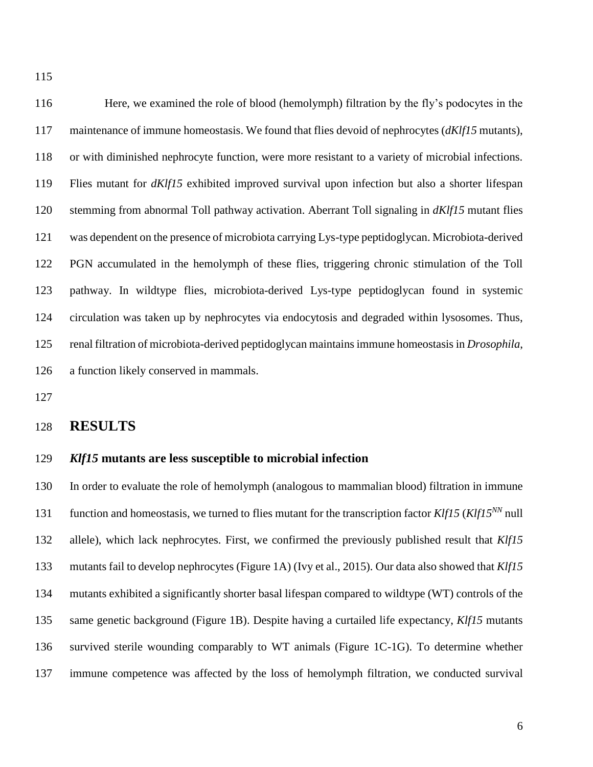Here, we examined the role of blood (hemolymph) filtration by the fly's podocytes in the maintenance of immune homeostasis. We found that flies devoid of nephrocytes (*dKlf15* mutants), or with diminished nephrocyte function, were more resistant to a variety of microbial infections. Flies mutant for *dKlf15* exhibited improved survival upon infection but also a shorter lifespan stemming from abnormal Toll pathway activation. Aberrant Toll signaling in *dKlf15* mutant flies was dependent on the presence of microbiota carrying Lys-type peptidoglycan. Microbiota-derived PGN accumulated in the hemolymph of these flies, triggering chronic stimulation of the Toll pathway. In wildtype flies, microbiota-derived Lys-type peptidoglycan found in systemic circulation was taken up by nephrocytes via endocytosis and degraded within lysosomes. Thus, renal filtration of microbiota-derived peptidoglycan maintainsimmune homeostasis in *Drosophila*, a function likely conserved in mammals.

## **RESULTS**

## *Klf15* **mutants are less susceptible to microbial infection**

 In order to evaluate the role of hemolymph (analogous to mammalian blood) filtration in immune function and homeostasis, we turned to flies mutant for the transcription factor  $K\ell f15$  ( $K\ell f15^{NN}$  null allele), which lack nephrocytes. First, we confirmed the previously published result that *Klf15* mutants fail to develop nephrocytes (Figure 1A) (Ivy et al., 2015). Our data also showed that *Klf15* mutants exhibited a significantly shorter basal lifespan compared to wildtype (WT) controls of the same genetic background (Figure 1B). Despite having a curtailed life expectancy, *Klf15* mutants survived sterile wounding comparably to WT animals (Figure 1C-1G). To determine whether immune competence was affected by the loss of hemolymph filtration, we conducted survival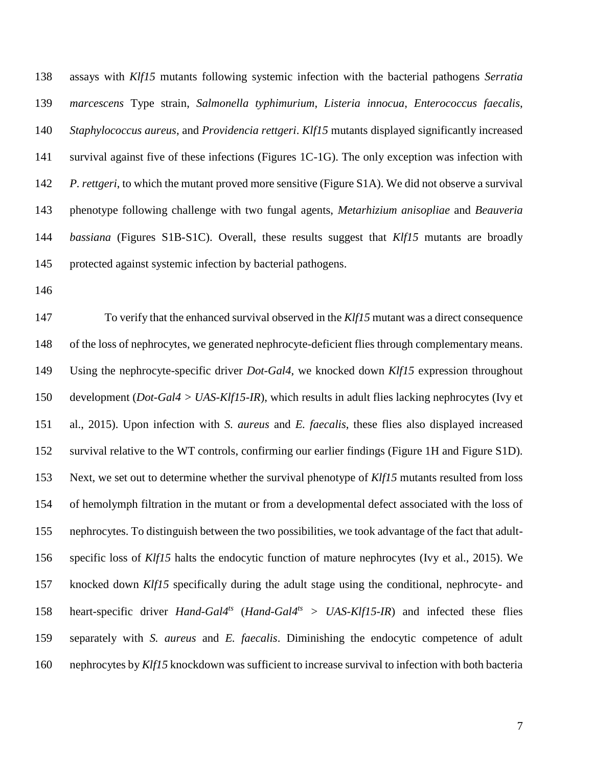assays with *Klf15* mutants following systemic infection with the bacterial pathogens *Serratia marcescens* Type strain, *Salmonella typhimurium*, *Listeria innocua*, *Enterococcus faecalis*, *Staphylococcus aureus*, and *Providencia rettgeri*. *Klf15* mutants displayed significantly increased survival against five of these infections (Figures 1C-1G). The only exception was infection with *P. rettgeri*, to which the mutant proved more sensitive (Figure S1A). We did not observe a survival phenotype following challenge with two fungal agents, *Metarhizium anisopliae* and *Beauveria bassiana* (Figures S1B-S1C). Overall, these results suggest that *Klf15* mutants are broadly protected against systemic infection by bacterial pathogens.

 To verify that the enhanced survival observed in the *Klf15* mutant was a direct consequence of the loss of nephrocytes, we generated nephrocyte-deficient flies through complementary means. Using the nephrocyte-specific driver *Dot-Gal4*, we knocked down *Klf15* expression throughout development (*Dot-Gal4 > UAS-Klf15-IR*), which results in adult flies lacking nephrocytes (Ivy et al., 2015). Upon infection with *S. aureus* and *E. faecalis*, these flies also displayed increased survival relative to the WT controls, confirming our earlier findings (Figure 1H and Figure S1D). Next, we set out to determine whether the survival phenotype of *Klf15* mutants resulted from loss of hemolymph filtration in the mutant or from a developmental defect associated with the loss of nephrocytes. To distinguish between the two possibilities, we took advantage of the fact that adult- specific loss of *Klf15* halts the endocytic function of mature nephrocytes (Ivy et al., 2015). We knocked down *Klf15* specifically during the adult stage using the conditional, nephrocyte- and heart-specific driver *Hand-Gal4ts* (*Hand-Gal4ts > UAS-Klf15-IR*) and infected these flies separately with *S. aureus* and *E. faecalis*. Diminishing the endocytic competence of adult nephrocytes by *Klf15* knockdown was sufficient to increase survival to infection with both bacteria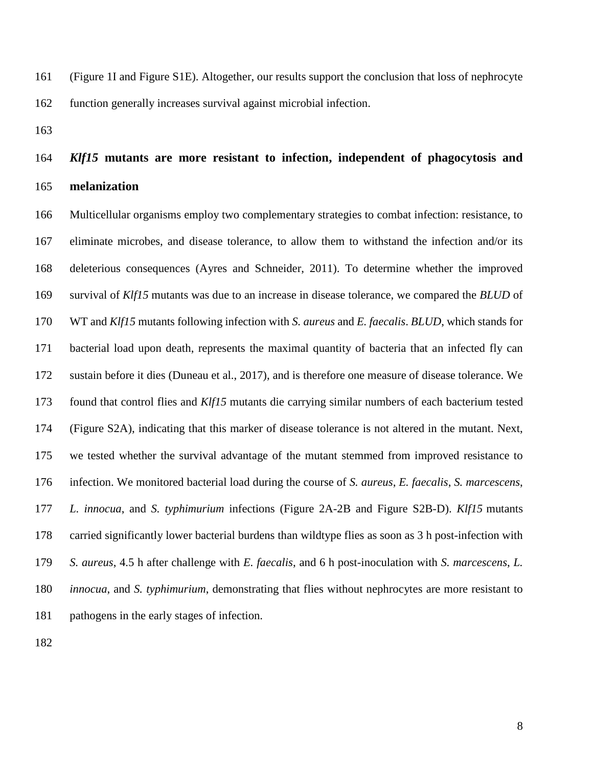(Figure 1I and Figure S1E). Altogether, our results support the conclusion that loss of nephrocyte function generally increases survival against microbial infection.

# *Klf15* **mutants are more resistant to infection, independent of phagocytosis and melanization**

 Multicellular organisms employ two complementary strategies to combat infection: resistance, to eliminate microbes, and disease tolerance, to allow them to withstand the infection and/or its deleterious consequences (Ayres and Schneider, 2011). To determine whether the improved survival of *Klf15* mutants was due to an increase in disease tolerance, we compared the *BLUD* of WT and *Klf15* mutants following infection with *S. aureus* and *E. faecalis*. *BLUD*, which stands for bacterial load upon death, represents the maximal quantity of bacteria that an infected fly can sustain before it dies (Duneau et al., 2017), and is therefore one measure of disease tolerance. We found that control flies and *Klf15* mutants die carrying similar numbers of each bacterium tested (Figure S2A), indicating that this marker of disease tolerance is not altered in the mutant. Next, we tested whether the survival advantage of the mutant stemmed from improved resistance to infection. We monitored bacterial load during the course of *S. aureus*, *E. faecalis*, *S. marcescens*, *L. innocua*, and *S. typhimurium* infections (Figure 2A-2B and Figure S2B-D). *Klf15* mutants carried significantly lower bacterial burdens than wildtype flies as soon as 3 h post-infection with *S. aureus*, 4.5 h after challenge with *E. faecalis*, and 6 h post-inoculation with *S. marcescens*, *L. innocua*, and *S. typhimurium*, demonstrating that flies without nephrocytes are more resistant to pathogens in the early stages of infection.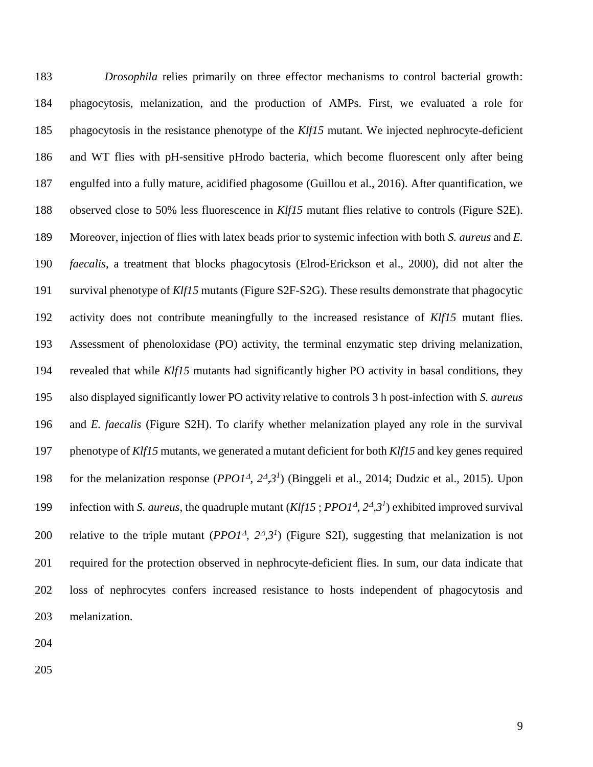*Drosophila* relies primarily on three effector mechanisms to control bacterial growth: phagocytosis, melanization, and the production of AMPs. First, we evaluated a role for phagocytosis in the resistance phenotype of the *Klf15* mutant. We injected nephrocyte-deficient and WT flies with pH-sensitive pHrodo bacteria, which become fluorescent only after being engulfed into a fully mature, acidified phagosome (Guillou et al., 2016). After quantification, we observed close to 50% less fluorescence in *Klf15* mutant flies relative to controls (Figure S2E). Moreover, injection of flies with latex beads prior to systemic infection with both *S. aureus* and *E. faecalis*, a treatment that blocks phagocytosis (Elrod-Erickson et al., 2000), did not alter the survival phenotype of *Klf15* mutants (Figure S2F-S2G). These results demonstrate that phagocytic activity does not contribute meaningfully to the increased resistance of *Klf15* mutant flies. Assessment of phenoloxidase (PO) activity, the terminal enzymatic step driving melanization, revealed that while *Klf15* mutants had significantly higher PO activity in basal conditions, they also displayed significantly lower PO activity relative to controls 3 h post-infection with *S. aureus* and *E. faecalis* (Figure S2H). To clarify whether melanization played any role in the survival phenotype of *Klf15* mutants, we generated a mutant deficient for both *Klf15* and key genes required 198 for the melanization response  $(PPOI<sup>A</sup>, 2<sup>A</sup>, 3<sup>I</sup>)$  (Binggeli et al., 2014; Dudzic et al., 2015). Upon 199 infection with *S. aureus*, the quadruple mutant  $(Klf15 ; \text{PPO1}^{\text{4}}, 2^{\text{4}}, 3^{\text{1}})$  exhibited improved survival 200 relative to the triple mutant  $(PPO1<sup>A</sup>, 2<sup>A</sup>,3<sup>I</sup>)$  (Figure S2I), suggesting that melanization is not required for the protection observed in nephrocyte-deficient flies. In sum, our data indicate that loss of nephrocytes confers increased resistance to hosts independent of phagocytosis and melanization.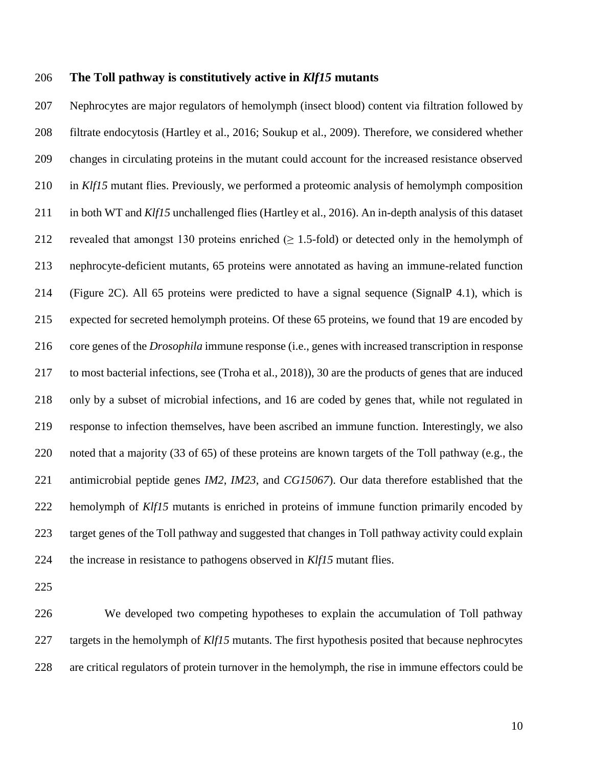#### **The Toll pathway is constitutively active in** *Klf15* **mutants**

 Nephrocytes are major regulators of hemolymph (insect blood) content via filtration followed by filtrate endocytosis (Hartley et al., 2016; Soukup et al., 2009). Therefore, we considered whether changes in circulating proteins in the mutant could account for the increased resistance observed in *Klf15* mutant flies. Previously, we performed a proteomic analysis of hemolymph composition in both WT and *Klf15* unchallenged flies (Hartley et al., 2016). An in-depth analysis of this dataset 212 revealed that amongst 130 proteins enriched  $(≥ 1.5-fold)$  or detected only in the hemolymph of nephrocyte-deficient mutants, 65 proteins were annotated as having an immune-related function (Figure 2C). All 65 proteins were predicted to have a signal sequence (SignalP 4.1), which is expected for secreted hemolymph proteins. Of these 65 proteins, we found that 19 are encoded by core genes of the *Drosophila* immune response (i.e., genes with increased transcription in response to most bacterial infections, see (Troha et al., 2018)), 30 are the products of genes that are induced only by a subset of microbial infections, and 16 are coded by genes that, while not regulated in response to infection themselves, have been ascribed an immune function. Interestingly, we also noted that a majority (33 of 65) of these proteins are known targets of the Toll pathway (e.g., the antimicrobial peptide genes *IM2*, *IM23*, and *CG15067*). Our data therefore established that the hemolymph of *Klf15* mutants is enriched in proteins of immune function primarily encoded by target genes of the Toll pathway and suggested that changes in Toll pathway activity could explain the increase in resistance to pathogens observed in *Klf15* mutant flies.

 We developed two competing hypotheses to explain the accumulation of Toll pathway targets in the hemolymph of *Klf15* mutants. The first hypothesis posited that because nephrocytes are critical regulators of protein turnover in the hemolymph, the rise in immune effectors could be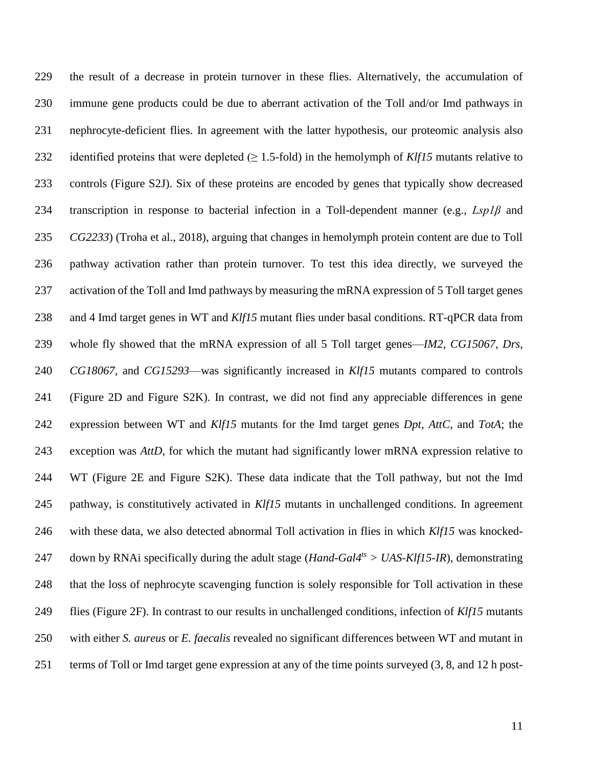the result of a decrease in protein turnover in these flies. Alternatively, the accumulation of immune gene products could be due to aberrant activation of the Toll and/or Imd pathways in nephrocyte-deficient flies. In agreement with the latter hypothesis, our proteomic analysis also 232 identified proteins that were depleted  $(\geq 1.5 \text{-fold})$  in the hemolymph of *Klf15* mutants relative to controls (Figure S2J). Six of these proteins are encoded by genes that typically show decreased transcription in response to bacterial infection in a Toll-dependent manner (e.g., *Lsp1β* and *CG2233*) (Troha et al., 2018), arguing that changes in hemolymph protein content are due to Toll pathway activation rather than protein turnover. To test this idea directly, we surveyed the activation of the Toll and Imd pathways by measuring the mRNA expression of 5 Toll target genes and 4 Imd target genes in WT and *Klf15* mutant flies under basal conditions. RT-qPCR data from whole fly showed that the mRNA expression of all 5 Toll target genes—*IM2*, *CG15067*, *Drs*, *CG18067*, and *CG15293*—was significantly increased in *Klf15* mutants compared to controls (Figure 2D and Figure S2K). In contrast, we did not find any appreciable differences in gene expression between WT and *Klf15* mutants for the Imd target genes *Dpt*, *AttC*, and *TotA*; the exception was *AttD*, for which the mutant had significantly lower mRNA expression relative to WT (Figure 2E and Figure S2K). These data indicate that the Toll pathway, but not the Imd pathway, is constitutively activated in *Klf15* mutants in unchallenged conditions. In agreement with these data, we also detected abnormal Toll activation in flies in which *Klf15* was knockeddown by RNAi specifically during the adult stage (*Hand-Gal4ts > UAS-Klf15-IR*), demonstrating that the loss of nephrocyte scavenging function is solely responsible for Toll activation in these flies (Figure 2F). In contrast to our results in unchallenged conditions, infection of *Klf15* mutants with either *S. aureus* or *E. faecalis* revealed no significant differences between WT and mutant in terms of Toll or Imd target gene expression at any of the time points surveyed (3, 8, and 12 h post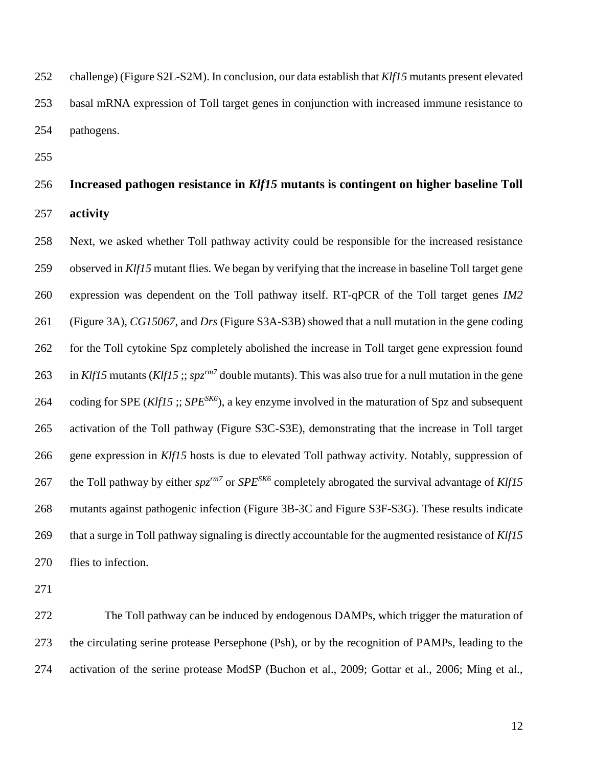challenge) (Figure S2L-S2M). In conclusion, our data establish that *Klf15* mutants present elevated basal mRNA expression of Toll target genes in conjunction with increased immune resistance to pathogens.

# **Increased pathogen resistance in** *Klf15* **mutants is contingent on higher baseline Toll activity**

 Next, we asked whether Toll pathway activity could be responsible for the increased resistance observed in *Klf15* mutant flies. We began by verifying that the increase in baseline Toll target gene expression was dependent on the Toll pathway itself. RT-qPCR of the Toll target genes *IM2* (Figure 3A), *CG15067*, and *Drs* (Figure S3A-S3B) showed that a null mutation in the gene coding for the Toll cytokine Spz completely abolished the increase in Toll target gene expression found 263 in *Klf15* mutants (*Klf15* ;; *spz<sup>rm7</sup>* double mutants). This was also true for a null mutation in the gene 264 coding for SPE (*Klf15* ;; *SPE<sup>SK6</sup>*), a key enzyme involved in the maturation of Spz and subsequent activation of the Toll pathway (Figure S3C-S3E), demonstrating that the increase in Toll target gene expression in *Klf15* hosts is due to elevated Toll pathway activity. Notably, suppression of 267 the Toll pathway by either  $spz^{rm7}$  or  $SPE^{SK6}$  completely abrogated the survival advantage of  $Klf15$  mutants against pathogenic infection (Figure 3B-3C and Figure S3F-S3G). These results indicate that a surge in Toll pathway signaling is directly accountable for the augmented resistance of *Klf15* flies to infection.

 The Toll pathway can be induced by endogenous DAMPs, which trigger the maturation of the circulating serine protease Persephone (Psh), or by the recognition of PAMPs, leading to the activation of the serine protease ModSP (Buchon et al., 2009; Gottar et al., 2006; Ming et al.,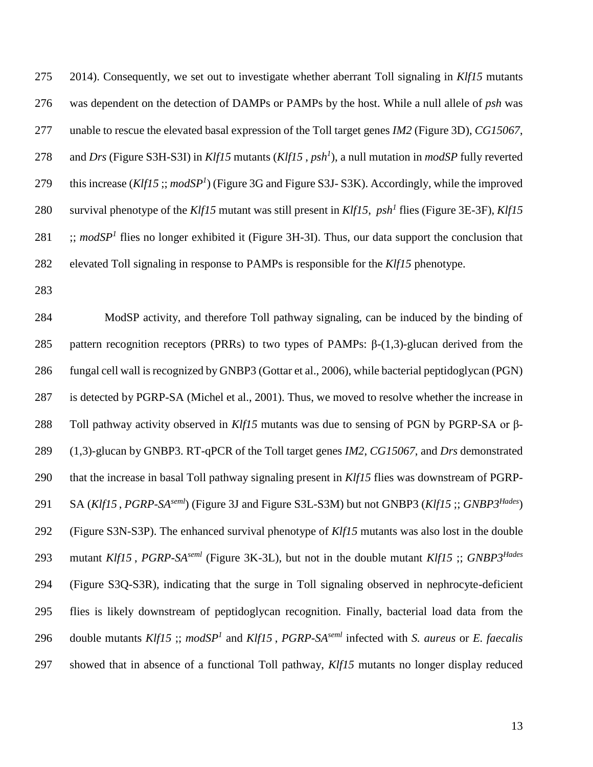2014). Consequently, we set out to investigate whether aberrant Toll signaling in *Klf15* mutants was dependent on the detection of DAMPs or PAMPs by the host. While a null allele of *psh* was unable to rescue the elevated basal expression of the Toll target genes *IM2* (Figure 3D), *CG15067*, 278 and *Drs* (Figure S3H-S3I) in *Klf15* mutants (*Klf15*, *psh<sup>1</sup>*), a null mutation in *modSP* fully reverted 279 this increase (*Klf15* ;; *modSP<sup>1</sup>*) (Figure 3G and Figure S3J-S3K). Accordingly, while the improved 280 survival phenotype of the *Klf15* mutant was still present in *Klf15*,  $psh^1$  flies (Figure 3E-3F), *Klf15*  $\therefore$  *modSP<sup>1</sup>* flies no longer exhibited it (Figure 3H-3I). Thus, our data support the conclusion that elevated Toll signaling in response to PAMPs is responsible for the *Klf15* phenotype.

 ModSP activity, and therefore Toll pathway signaling, can be induced by the binding of 285 pattern recognition receptors (PRRs) to two types of PAMPs:  $\beta$ -(1,3)-glucan derived from the fungal cell wall is recognized by GNBP3 (Gottar et al., 2006), while bacterial peptidoglycan (PGN) is detected by PGRP-SA (Michel et al., 2001). Thus, we moved to resolve whether the increase in Toll pathway activity observed in *Klf15* mutants was due to sensing of PGN by PGRP-SA or β- (1,3)-glucan by GNBP3. RT-qPCR of the Toll target genes *IM2*, *CG15067*, and *Drs* demonstrated that the increase in basal Toll pathway signaling present in *Klf15* flies was downstream of PGRP-291 SA (*Klf15*, *PGRP-SA*<sup>*seml*</sup>) (Figure 3J and Figure S3L-S3M) but not GNBP3 (*Klf15* ;; *GNBP3<sup>Hades</sup>*) (Figure S3N-S3P). The enhanced survival phenotype of *Klf15* mutants was also lost in the double mutant *Klf15* , *PGRP-SAseml* (Figure 3K-3L), but not in the double mutant *Klf15* ;; *GNBP3Hades* (Figure S3Q-S3R), indicating that the surge in Toll signaling observed in nephrocyte-deficient flies is likely downstream of peptidoglycan recognition. Finally, bacterial load data from the 296 double mutants *Klf15*; *modSP<sup>1</sup>* and *Klf15*, *PGRP-SA*<sup>*seml*</sup> infected with *S. aureus* or *E. faecalis* showed that in absence of a functional Toll pathway, *Klf15* mutants no longer display reduced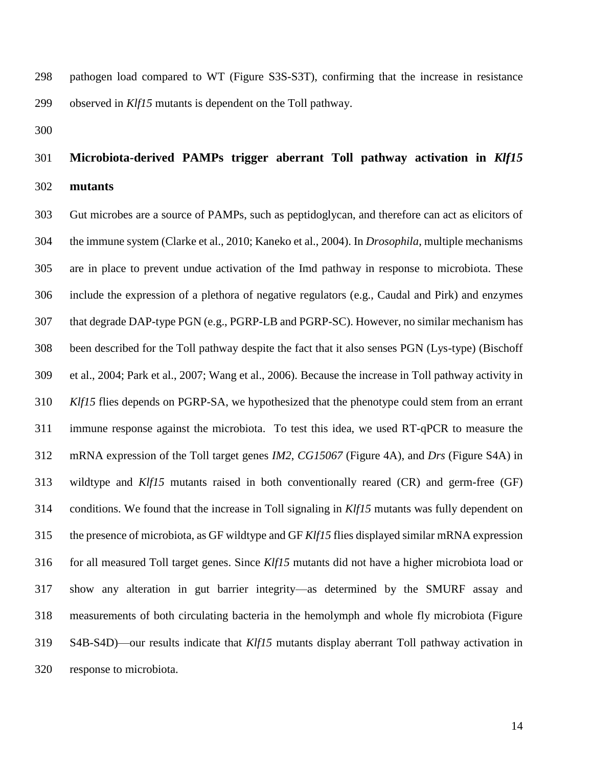pathogen load compared to WT (Figure S3S-S3T), confirming that the increase in resistance observed in *Klf15* mutants is dependent on the Toll pathway.

# **Microbiota-derived PAMPs trigger aberrant Toll pathway activation in** *Klf15* **mutants**

 Gut microbes are a source of PAMPs, such as peptidoglycan, and therefore can act as elicitors of the immune system (Clarke et al., 2010; Kaneko et al., 2004). In *Drosophila*, multiple mechanisms are in place to prevent undue activation of the Imd pathway in response to microbiota. These include the expression of a plethora of negative regulators (e.g., Caudal and Pirk) and enzymes that degrade DAP-type PGN (e.g., PGRP-LB and PGRP-SC). However, no similar mechanism has been described for the Toll pathway despite the fact that it also senses PGN (Lys-type) (Bischoff et al., 2004; Park et al., 2007; Wang et al., 2006). Because the increase in Toll pathway activity in *Klf15* flies depends on PGRP-SA, we hypothesized that the phenotype could stem from an errant immune response against the microbiota. To test this idea, we used RT-qPCR to measure the mRNA expression of the Toll target genes *IM2*, *CG15067* (Figure 4A), and *Drs* (Figure S4A) in wildtype and *Klf15* mutants raised in both conventionally reared (CR) and germ-free (GF) conditions. We found that the increase in Toll signaling in *Klf15* mutants was fully dependent on the presence of microbiota, as GF wildtype and GF *Klf15* flies displayed similar mRNA expression for all measured Toll target genes. Since *Klf15* mutants did not have a higher microbiota load or show any alteration in gut barrier integrity—as determined by the SMURF assay and measurements of both circulating bacteria in the hemolymph and whole fly microbiota (Figure S4B-S4D)—our results indicate that *Klf15* mutants display aberrant Toll pathway activation in response to microbiota.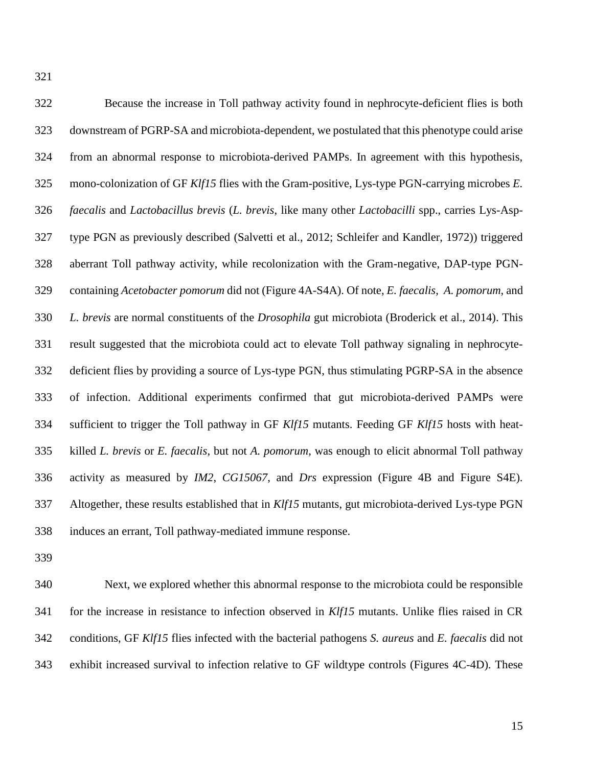| 322 | Because the increase in Toll pathway activity found in nephrocyte-deficient flies is both                   |
|-----|-------------------------------------------------------------------------------------------------------------|
| 323 | downstream of PGRP-SA and microbiota-dependent, we postulated that this phenotype could arise               |
| 324 | from an abnormal response to microbiota-derived PAMPs. In agreement with this hypothesis,                   |
| 325 | mono-colonization of GF Klf15 flies with the Gram-positive, Lys-type PGN-carrying microbes E.               |
| 326 | faecalis and Lactobacillus brevis (L. brevis, like many other Lactobacilli spp., carries Lys-Asp-           |
| 327 | type PGN as previously described (Salvetti et al., 2012; Schleifer and Kandler, 1972)) triggered            |
| 328 | aberrant Toll pathway activity, while recolonization with the Gram-negative, DAP-type PGN-                  |
| 329 | containing Acetobacter pomorum did not (Figure 4A-S4A). Of note, E. faecalis, A. pomorum, and               |
| 330 | L. brevis are normal constituents of the Drosophila gut microbiota (Broderick et al., 2014). This           |
| 331 | result suggested that the microbiota could act to elevate Toll pathway signaling in nephrocyte-             |
| 332 | deficient flies by providing a source of Lys-type PGN, thus stimulating PGRP-SA in the absence              |
| 333 | of infection. Additional experiments confirmed that gut microbiota-derived PAMPs were                       |
| 334 | sufficient to trigger the Toll pathway in GF Klf15 mutants. Feeding GF Klf15 hosts with heat-               |
| 335 | killed L. brevis or E. faecalis, but not A. pomorum, was enough to elicit abnormal Toll pathway             |
| 336 | activity as measured by <i>IM2</i> , <i>CG15067</i> , and <i>Drs</i> expression (Figure 4B and Figure S4E). |
| 337 | Altogether, these results established that in <i>Klf15</i> mutants, gut microbiota-derived Lys-type PGN     |
| 338 | induces an errant, Toll pathway-mediated immune response.                                                   |

 Next, we explored whether this abnormal response to the microbiota could be responsible for the increase in resistance to infection observed in *Klf15* mutants. Unlike flies raised in CR conditions, GF *Klf15* flies infected with the bacterial pathogens *S. aureus* and *E. faecalis* did not exhibit increased survival to infection relative to GF wildtype controls (Figures 4C-4D). These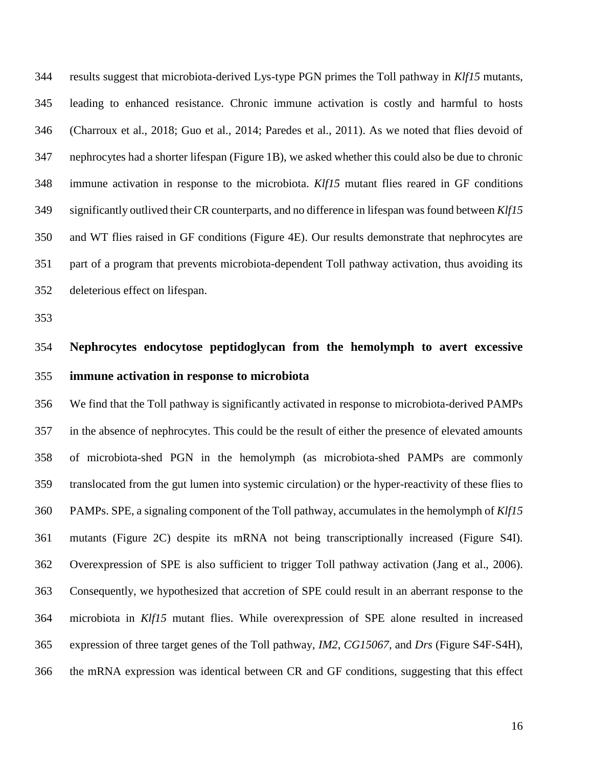results suggest that microbiota-derived Lys-type PGN primes the Toll pathway in *Klf15* mutants, leading to enhanced resistance. Chronic immune activation is costly and harmful to hosts (Charroux et al., 2018; Guo et al., 2014; Paredes et al., 2011). As we noted that flies devoid of nephrocytes had a shorter lifespan (Figure 1B), we asked whether this could also be due to chronic immune activation in response to the microbiota. *Klf15* mutant flies reared in GF conditions significantly outlived their CR counterparts, and no difference in lifespan was found between *Klf15* and WT flies raised in GF conditions (Figure 4E). Our results demonstrate that nephrocytes are part of a program that prevents microbiota-dependent Toll pathway activation, thus avoiding its deleterious effect on lifespan.

# **Nephrocytes endocytose peptidoglycan from the hemolymph to avert excessive immune activation in response to microbiota**

 We find that the Toll pathway is significantly activated in response to microbiota-derived PAMPs in the absence of nephrocytes. This could be the result of either the presence of elevated amounts of microbiota-shed PGN in the hemolymph (as microbiota-shed PAMPs are commonly translocated from the gut lumen into systemic circulation) or the hyper-reactivity of these flies to PAMPs. SPE, a signaling component of the Toll pathway, accumulates in the hemolymph of *Klf15* mutants (Figure 2C) despite its mRNA not being transcriptionally increased (Figure S4I). Overexpression of SPE is also sufficient to trigger Toll pathway activation (Jang et al., 2006). Consequently, we hypothesized that accretion of SPE could result in an aberrant response to the microbiota in *Klf15* mutant flies. While overexpression of SPE alone resulted in increased expression of three target genes of the Toll pathway, *IM2*, *CG15067*, and *Drs* (Figure S4F-S4H), the mRNA expression was identical between CR and GF conditions, suggesting that this effect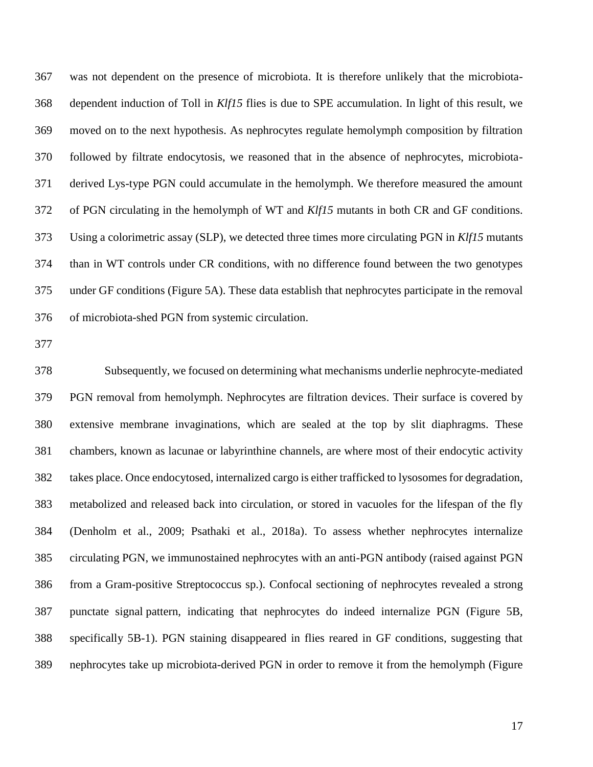was not dependent on the presence of microbiota. It is therefore unlikely that the microbiota- dependent induction of Toll in *Klf15* flies is due to SPE accumulation. In light of this result, we moved on to the next hypothesis. As nephrocytes regulate hemolymph composition by filtration followed by filtrate endocytosis, we reasoned that in the absence of nephrocytes, microbiota- derived Lys-type PGN could accumulate in the hemolymph. We therefore measured the amount of PGN circulating in the hemolymph of WT and *Klf15* mutants in both CR and GF conditions. Using a colorimetric assay (SLP), we detected three times more circulating PGN in *Klf15* mutants than in WT controls under CR conditions, with no difference found between the two genotypes under GF conditions (Figure 5A). These data establish that nephrocytes participate in the removal of microbiota-shed PGN from systemic circulation.

 Subsequently, we focused on determining what mechanisms underlie nephrocyte-mediated PGN removal from hemolymph. Nephrocytes are filtration devices. Their surface is covered by extensive membrane invaginations, which are sealed at the top by slit diaphragms. These chambers, known as lacunae or labyrinthine channels, are where most of their endocytic activity takes place. Once endocytosed, internalized cargo is either trafficked to lysosomes for degradation, metabolized and released back into circulation, or stored in vacuoles for the lifespan of the fly (Denholm et al., 2009; Psathaki et al., 2018a). To assess whether nephrocytes internalize circulating PGN, we immunostained nephrocytes with an anti-PGN antibody (raised against PGN from a Gram-positive Streptococcus sp.). Confocal sectioning of nephrocytes revealed a strong punctate signal pattern, indicating that nephrocytes do indeed internalize PGN (Figure 5B, specifically 5B-1). PGN staining disappeared in flies reared in GF conditions, suggesting that nephrocytes take up microbiota-derived PGN in order to remove it from the hemolymph (Figure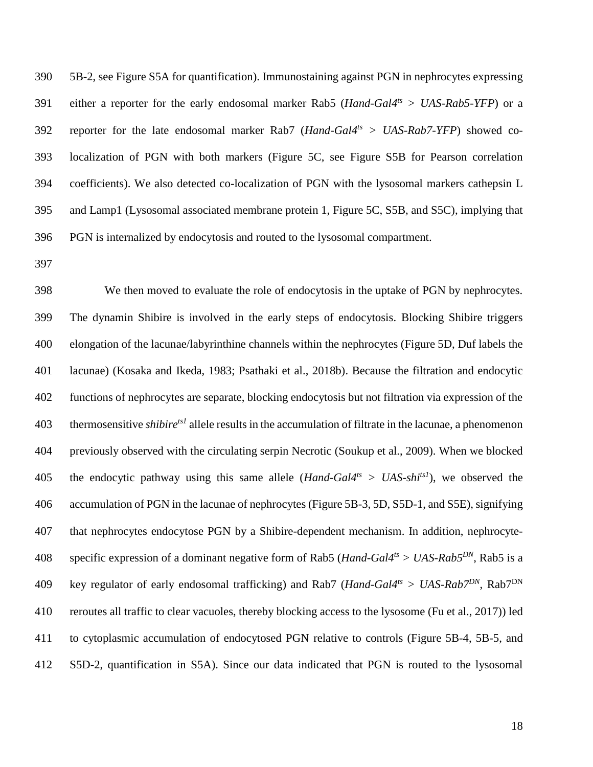5B-2, see Figure S5A for quantification). Immunostaining against PGN in nephrocytes expressing either a reporter for the early endosomal marker Rab5 (*Hand-Gal4ts > UAS-Rab5-YFP*) or a reporter for the late endosomal marker Rab7 (*Hand-Gal4ts > UAS-Rab7-YFP*) showed co- localization of PGN with both markers (Figure 5C, see Figure S5B for Pearson correlation coefficients). We also detected co-localization of PGN with the lysosomal markers cathepsin L and Lamp1 (Lysosomal associated membrane protein 1, Figure 5C, S5B, and S5C), implying that PGN is internalized by endocytosis and routed to the lysosomal compartment.

 We then moved to evaluate the role of endocytosis in the uptake of PGN by nephrocytes. The dynamin Shibire is involved in the early steps of endocytosis. Blocking Shibire triggers elongation of the lacunae/labyrinthine channels within the nephrocytes (Figure 5D, Duf labels the lacunae) (Kosaka and Ikeda, 1983; Psathaki et al., 2018b). Because the filtration and endocytic functions of nephrocytes are separate, blocking endocytosis but not filtration via expression of the 403 thermosensitive *shibire<sup>ts1</sup>* allele results in the accumulation of filtrate in the lacunae, a phenomenon previously observed with the circulating serpin Necrotic (Soukup et al., 2009). When we blocked 405 the endocytic pathway using this same allele (*Hand-Gal4<sup>ts</sup>*  $> UAS\text{-}shi^{ts}$ ), we observed the accumulation of PGN in the lacunae of nephrocytes (Figure 5B-3, 5D, S5D-1, and S5E), signifying that nephrocytes endocytose PGN by a Shibire-dependent mechanism. In addition, nephrocyte-408 specific expression of a dominant negative form of Rab5 (*Hand-Gal4<sup>ts</sup>* > *UAS-Rab5*<sup>*DN*</sup>, Rab5 is a key regulator of early endosomal trafficking) and Rab7 (*Hand-Gal4<sup>ts</sup>* > *UAS-Rab7*<sup>DN</sup>, Rab7<sup>DN</sup> reroutes all traffic to clear vacuoles, thereby blocking access to the lysosome (Fu et al., 2017)) led to cytoplasmic accumulation of endocytosed PGN relative to controls (Figure 5B-4, 5B-5, and S5D-2, quantification in S5A). Since our data indicated that PGN is routed to the lysosomal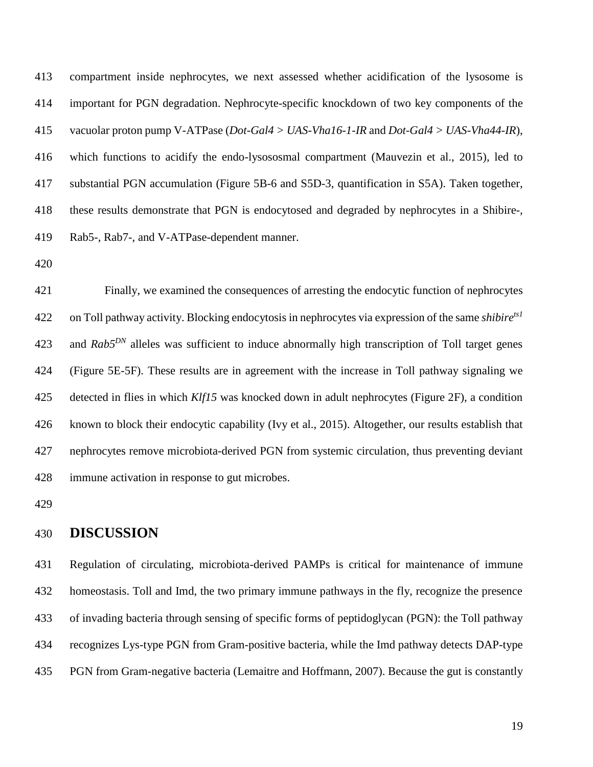compartment inside nephrocytes, we next assessed whether acidification of the lysosome is important for PGN degradation. Nephrocyte-specific knockdown of two key components of the vacuolar proton pump V-ATPase (*Dot-Gal4 > UAS-Vha16-1-IR* and *Dot-Gal4 > UAS-Vha44-IR*), which functions to acidify the endo-lysososmal compartment (Mauvezin et al., 2015), led to substantial PGN accumulation (Figure 5B-6 and S5D-3, quantification in S5A). Taken together, these results demonstrate that PGN is endocytosed and degraded by nephrocytes in a Shibire-, Rab5-, Rab7-, and V-ATPase-dependent manner.

 Finally, we examined the consequences of arresting the endocytic function of nephrocytes on Toll pathway activity. Blocking endocytosis in nephrocytes via expression of the same *shibirets1* 423 and *Rab5<sup>DN</sup>* alleles was sufficient to induce abnormally high transcription of Toll target genes (Figure 5E-5F). These results are in agreement with the increase in Toll pathway signaling we detected in flies in which *Klf15* was knocked down in adult nephrocytes (Figure 2F), a condition known to block their endocytic capability (Ivy et al., 2015). Altogether, our results establish that nephrocytes remove microbiota-derived PGN from systemic circulation, thus preventing deviant immune activation in response to gut microbes.

## **DISCUSSION**

 Regulation of circulating, microbiota-derived PAMPs is critical for maintenance of immune homeostasis. Toll and Imd, the two primary immune pathways in the fly, recognize the presence of invading bacteria through sensing of specific forms of peptidoglycan (PGN): the Toll pathway recognizes Lys-type PGN from Gram-positive bacteria, while the Imd pathway detects DAP-type PGN from Gram-negative bacteria (Lemaitre and Hoffmann, 2007). Because the gut is constantly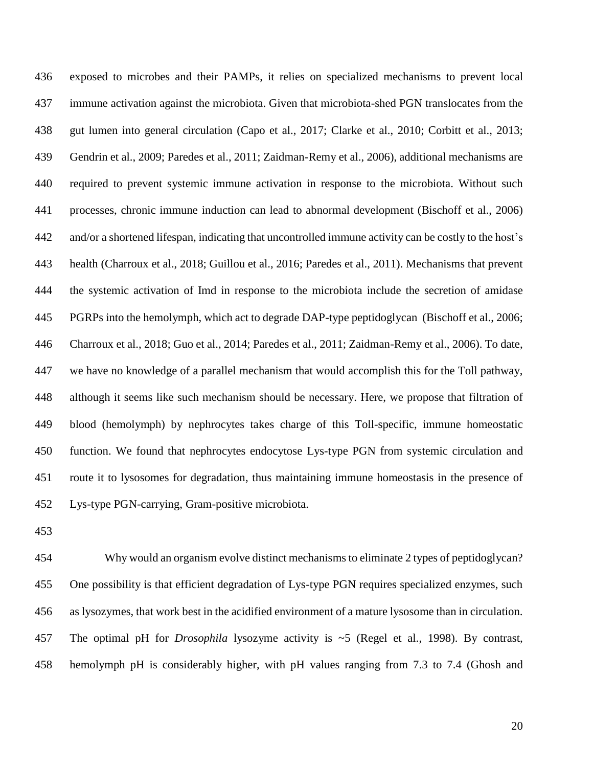exposed to microbes and their PAMPs, it relies on specialized mechanisms to prevent local immune activation against the microbiota. Given that microbiota-shed PGN translocates from the gut lumen into general circulation (Capo et al., 2017; Clarke et al., 2010; Corbitt et al., 2013; Gendrin et al., 2009; Paredes et al., 2011; Zaidman-Remy et al., 2006), additional mechanisms are required to prevent systemic immune activation in response to the microbiota. Without such processes, chronic immune induction can lead to abnormal development (Bischoff et al., 2006) and/or a shortened lifespan, indicating that uncontrolled immune activity can be costly to the host's health (Charroux et al., 2018; Guillou et al., 2016; Paredes et al., 2011). Mechanisms that prevent the systemic activation of Imd in response to the microbiota include the secretion of amidase PGRPs into the hemolymph, which act to degrade DAP-type peptidoglycan (Bischoff et al., 2006; Charroux et al., 2018; Guo et al., 2014; Paredes et al., 2011; Zaidman-Remy et al., 2006). To date, we have no knowledge of a parallel mechanism that would accomplish this for the Toll pathway, although it seems like such mechanism should be necessary. Here, we propose that filtration of blood (hemolymph) by nephrocytes takes charge of this Toll-specific, immune homeostatic function. We found that nephrocytes endocytose Lys-type PGN from systemic circulation and route it to lysosomes for degradation, thus maintaining immune homeostasis in the presence of Lys-type PGN-carrying, Gram-positive microbiota.

 Why would an organism evolve distinct mechanisms to eliminate 2 types of peptidoglycan? One possibility is that efficient degradation of Lys-type PGN requires specialized enzymes, such as lysozymes, that work best in the acidified environment of a mature lysosome than in circulation. The optimal pH for *Drosophila* lysozyme activity is ~5 (Regel et al., 1998). By contrast, hemolymph pH is considerably higher, with pH values ranging from 7.3 to 7.4 (Ghosh and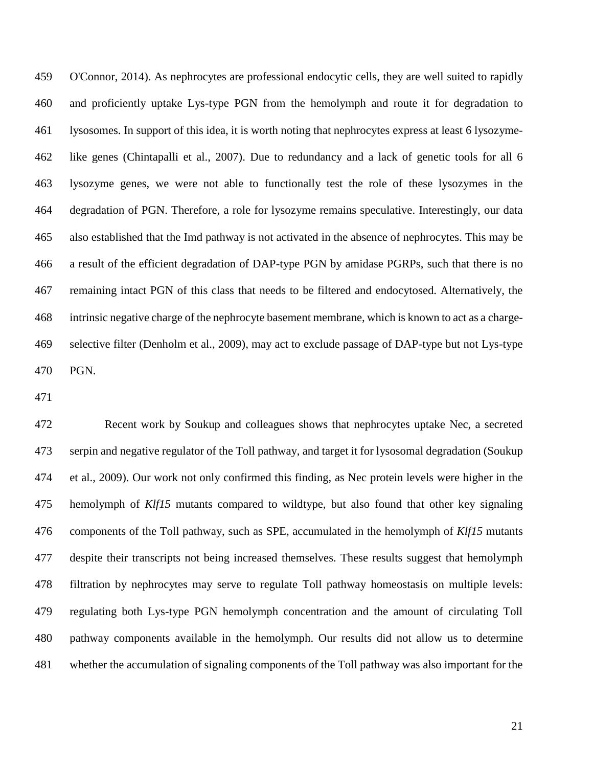O'Connor, 2014). As nephrocytes are professional endocytic cells, they are well suited to rapidly and proficiently uptake Lys-type PGN from the hemolymph and route it for degradation to lysosomes. In support of this idea, it is worth noting that nephrocytes express at least 6 lysozyme- like genes (Chintapalli et al., 2007). Due to redundancy and a lack of genetic tools for all 6 lysozyme genes, we were not able to functionally test the role of these lysozymes in the degradation of PGN. Therefore, a role for lysozyme remains speculative. Interestingly, our data also established that the Imd pathway is not activated in the absence of nephrocytes. This may be a result of the efficient degradation of DAP-type PGN by amidase PGRPs, such that there is no remaining intact PGN of this class that needs to be filtered and endocytosed. Alternatively, the intrinsic negative charge of the nephrocyte basement membrane, which is known to act as a charge- selective filter (Denholm et al., 2009), may act to exclude passage of DAP-type but not Lys-type PGN.

 Recent work by Soukup and colleagues shows that nephrocytes uptake Nec, a secreted serpin and negative regulator of the Toll pathway, and target it for lysosomal degradation (Soukup et al., 2009). Our work not only confirmed this finding, as Nec protein levels were higher in the hemolymph of *Klf15* mutants compared to wildtype, but also found that other key signaling components of the Toll pathway, such as SPE, accumulated in the hemolymph of *Klf15* mutants despite their transcripts not being increased themselves. These results suggest that hemolymph filtration by nephrocytes may serve to regulate Toll pathway homeostasis on multiple levels: regulating both Lys-type PGN hemolymph concentration and the amount of circulating Toll pathway components available in the hemolymph. Our results did not allow us to determine whether the accumulation of signaling components of the Toll pathway was also important for the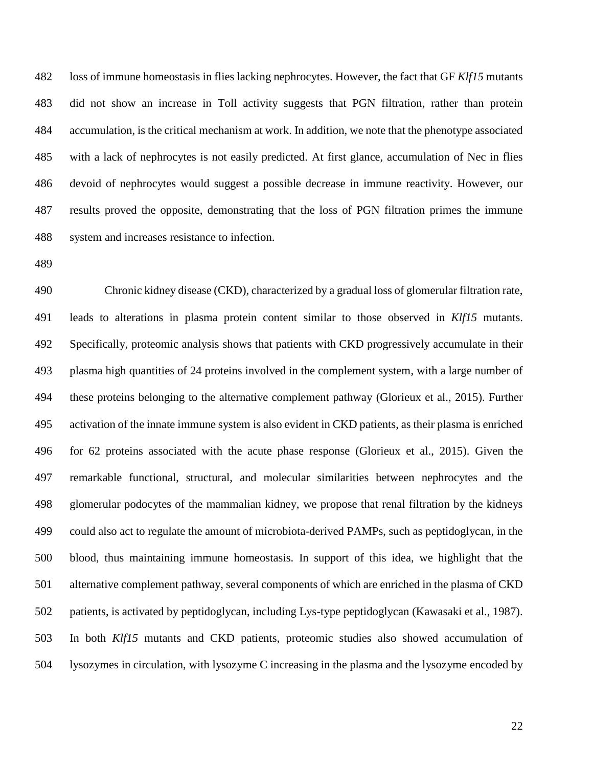loss of immune homeostasis in flies lacking nephrocytes. However, the fact that GF *Klf15* mutants did not show an increase in Toll activity suggests that PGN filtration, rather than protein accumulation, is the critical mechanism at work. In addition, we note that the phenotype associated with a lack of nephrocytes is not easily predicted. At first glance, accumulation of Nec in flies devoid of nephrocytes would suggest a possible decrease in immune reactivity. However, our results proved the opposite, demonstrating that the loss of PGN filtration primes the immune system and increases resistance to infection.

 Chronic kidney disease (CKD), characterized by a gradual loss of glomerular filtration rate, leads to alterations in plasma protein content similar to those observed in *Klf15* mutants. Specifically, proteomic analysis shows that patients with CKD progressively accumulate in their plasma high quantities of 24 proteins involved in the complement system, with a large number of these proteins belonging to the alternative complement pathway (Glorieux et al., 2015). Further activation of the innate immune system is also evident in CKD patients, as their plasma is enriched for 62 proteins associated with the acute phase response (Glorieux et al., 2015). Given the remarkable functional, structural, and molecular similarities between nephrocytes and the glomerular podocytes of the mammalian kidney, we propose that renal filtration by the kidneys could also act to regulate the amount of microbiota-derived PAMPs, such as peptidoglycan, in the blood, thus maintaining immune homeostasis. In support of this idea, we highlight that the alternative complement pathway, several components of which are enriched in the plasma of CKD patients, is activated by peptidoglycan, including Lys-type peptidoglycan (Kawasaki et al., 1987). In both *Klf15* mutants and CKD patients, proteomic studies also showed accumulation of lysozymes in circulation, with lysozyme C increasing in the plasma and the lysozyme encoded by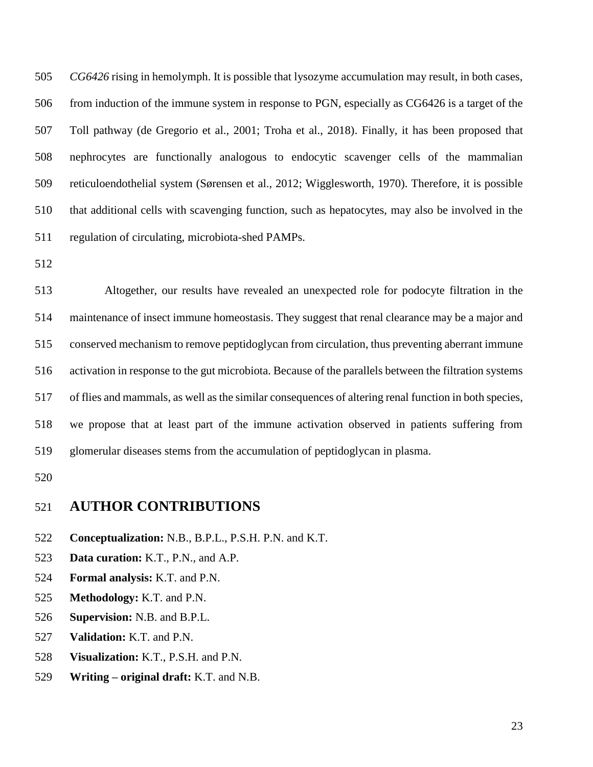*CG6426* rising in hemolymph. It is possible that lysozyme accumulation may result, in both cases, from induction of the immune system in response to PGN, especially as CG6426 is a target of the Toll pathway (de Gregorio et al., 2001; Troha et al., 2018). Finally, it has been proposed that nephrocytes are functionally analogous to endocytic scavenger cells of the mammalian reticuloendothelial system (Sørensen et al., 2012; Wigglesworth, 1970). Therefore, it is possible that additional cells with scavenging function, such as hepatocytes, may also be involved in the regulation of circulating, microbiota-shed PAMPs.

 Altogether, our results have revealed an unexpected role for podocyte filtration in the maintenance of insect immune homeostasis. They suggest that renal clearance may be a major and conserved mechanism to remove peptidoglycan from circulation, thus preventing aberrant immune activation in response to the gut microbiota. Because of the parallels between the filtration systems of flies and mammals, as well as the similar consequences of altering renal function in both species, we propose that at least part of the immune activation observed in patients suffering from glomerular diseases stems from the accumulation of peptidoglycan in plasma.

## **AUTHOR CONTRIBUTIONS**

- **Conceptualization:** N.B., B.P.L., P.S.H. P.N. and K.T.
- **Data curation:** K.T., P.N., and A.P.
- **Formal analysis:** K.T. and P.N.
- **Methodology:** K.T. and P.N.
- **Supervision:** N.B. and B.P.L.
- **Validation:** K.T. and P.N.
- **Visualization:** K.T., P.S.H. and P.N.
- **Writing – original draft:** K.T. and N.B.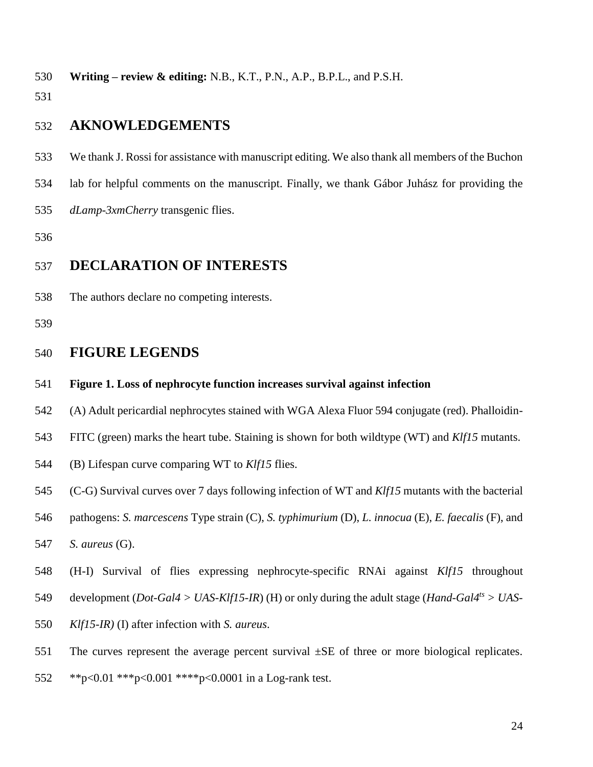**Writing – review & editing:** N.B., K.T., P.N., A.P., B.P.L., and P.S.H.

# **AKNOWLEDGEMENTS**

- We thank J. Rossi for assistance with manuscript editing. We also thank all members of the Buchon
- lab for helpful comments on the manuscript. Finally, we thank Gábor Juhász for providing the
- *dLamp-3xmCherry* transgenic flies.

# **DECLARATION OF INTERESTS**

The authors declare no competing interests.

# **FIGURE LEGENDS**

### **Figure 1. Loss of nephrocyte function increases survival against infection**

- (A) Adult pericardial nephrocytes stained with WGA Alexa Fluor 594 conjugate (red). Phalloidin-
- FITC (green) marks the heart tube. Staining is shown for both wildtype (WT) and *Klf15* mutants.
- (B) Lifespan curve comparing WT to *Klf15* flies.
- (C-G) Survival curves over 7 days following infection of WT and *Klf15* mutants with the bacterial
- pathogens: *S. marcescens* Type strain (C), *S. typhimurium* (D), *L. innocua* (E), *E. faecalis* (F), and

*S. aureus* (G).

- (H-I) Survival of flies expressing nephrocyte-specific RNAi against *Klf15* throughout
- 549 development (*Dot-Gal4 > UAS-Klf15-IR*) (H) or only during the adult stage (*Hand-Gal4<sup>ts</sup> > UAS-*
- *Klf15-IR)* (I) after infection with *S. aureus*.
- 551 The curves represent the average percent survival  $\pm SE$  of three or more biological replicates.
- \*\*p<0.01 \*\*\*p<0.001 \*\*\*\*p<0.0001 in a Log-rank test.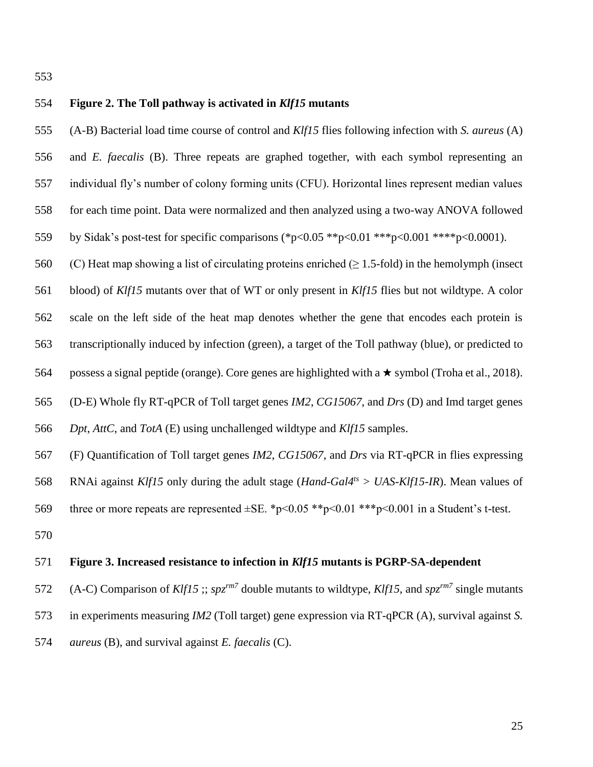## **Figure 2. The Toll pathway is activated in** *Klf15* **mutants**

(A-B) Bacterial load time course of control and *Klf15* flies following infection with *S. aureus* (A)

- and *E. faecalis* (B). Three repeats are graphed together, with each symbol representing an
- individual fly's number of colony forming units (CFU). Horizontal lines represent median values
- for each time point. Data were normalized and then analyzed using a two-way ANOVA followed
- by Sidak's post-test for specific comparisons (\*p<0.05 \*\*p<0.01 \*\*\*p<0.001 \*\*\*\*p<0.0001).
- 560 (C) Heat map showing a list of circulating proteins enriched ( $\geq 1.5$ -fold) in the hemolymph (insect
- blood) of *Klf15* mutants over that of WT or only present in *Klf15* flies but not wildtype. A color
- scale on the left side of the heat map denotes whether the gene that encodes each protein is

transcriptionally induced by infection (green), a target of the Toll pathway (blue), or predicted to

564 possess a signal peptide (orange). Core genes are highlighted with a  $\star$  symbol (Troha et al., 2018).

- (D-E) Whole fly RT-qPCR of Toll target genes *IM2*, *CG15067*, and *Drs* (D) and Imd target genes
- *Dpt*, *AttC*, and *TotA* (E) using unchallenged wildtype and *Klf15* samples.
- (F) Quantification of Toll target genes *IM2*, *CG15067*, and *Drs* via RT-qPCR in flies expressing
- RNAi against *Klf15* only during the adult stage (*Hand-Gal4ts > UAS-Klf15-IR*). Mean values of
- 569 three or more repeats are represented  $\pm$ SE. \*p<0.05 \*\*p<0.01 \*\*\*p<0.001 in a Student's t-test.
- 

#### **Figure 3. Increased resistance to infection in** *Klf15* **mutants is PGRP-SA-dependent**

572 (A-C) Comparison of *Klf15* ;;  $spz^{rm7}$  double mutants to wildtype, *Klf15*, and  $spz^{rm7}$  single mutants in experiments measuring *IM2* (Toll target) gene expression via RT-qPCR (A), survival against *S. aureus* (B), and survival against *E. faecalis* (C).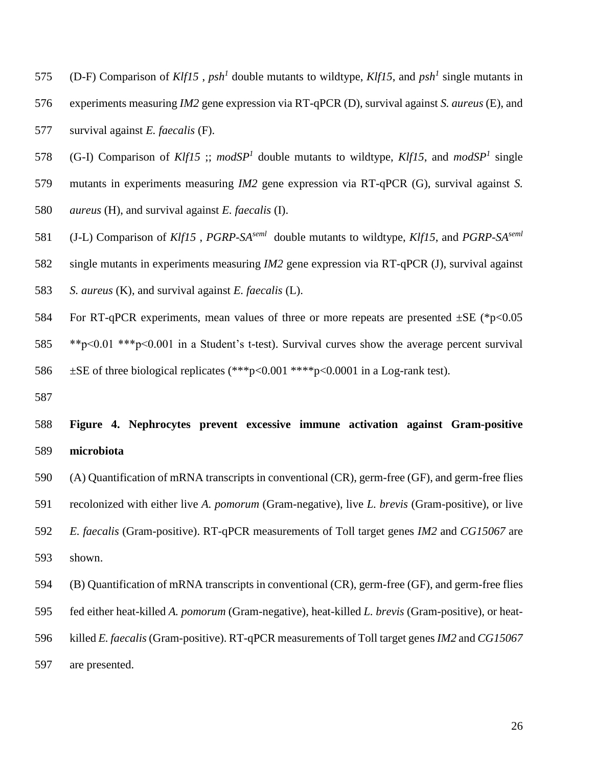- 575 (D-F) Comparison of *Klf15*, *psh<sup>1</sup>* double mutants to wildtype, *Klf15*, and *psh<sup>1</sup>* single mutants in experiments measuring *IM2* gene expression via RT-qPCR (D), survival against *S. aureus* (E), and survival against *E. faecalis* (F).
- 578 (G-I) Comparison of *Klf15*; *modSP<sup>1</sup>* double mutants to wildtype, *Klf15*, and *modSP<sup>1</sup>* single
- mutants in experiments measuring *IM2* gene expression via RT-qPCR (G), survival against *S.*
- *aureus* (H), and survival against *E. faecalis* (I).
- 581 (J-L) Comparison of *Klf15*, *PGRP-SA*<sup>*seml*</sup> double mutants to wildtype, *Klf15*, and *PGRP-SA*<sup>*seml*</sup>
- single mutants in experiments measuring *IM2* gene expression via RT-qPCR (J), survival against
- *S. aureus* (K), and survival against *E. faecalis* (L).
- 584 For RT-qPCR experiments, mean values of three or more repeats are presented  $\pm$ SE (\*p<0.05
- \*\*p<0.01 \*\*\*p<0.001 in a Student's t-test). Survival curves show the average percent survival ±SE of three biological replicates (\*\*\*p<0.001 \*\*\*\*p<0.0001 in a Log-rank test).
- 

# **Figure 4. Nephrocytes prevent excessive immune activation against Gram-positive microbiota**

(A) Quantification of mRNA transcripts in conventional (CR), germ-free (GF), and germ-free flies

recolonized with either live *A. pomorum* (Gram-negative), live *L. brevis* (Gram-positive), or live

- *E. faecalis* (Gram-positive). RT-qPCR measurements of Toll target genes *IM2* and *CG15067* are shown.
- (B) Quantification of mRNA transcripts in conventional (CR), germ-free (GF), and germ-free flies
- fed either heat-killed *A. pomorum* (Gram-negative), heat-killed *L. brevis* (Gram-positive), or heat-
- killed *E. faecalis*(Gram-positive). RT-qPCR measurements of Toll target genes *IM2* and *CG15067*
- are presented.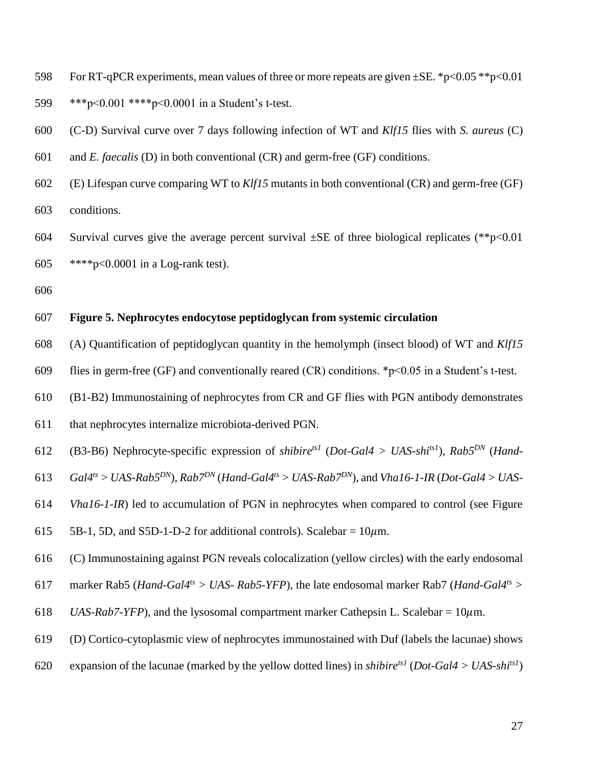- 598 For RT-qPCR experiments, mean values of three or more repeats are given  $\pm$ SE. \*p<0.05 \*\*p<0.01
- \*\*\*p<0.001 \*\*\*\*p<0.0001 in a Student's t-test.
- (C-D) Survival curve over 7 days following infection of WT and *Klf15* flies with *S. aureus* (C)
- and *E. faecalis* (D) in both conventional (CR) and germ-free (GF) conditions.
- (E) Lifespan curve comparing WT to *Klf15* mutants in both conventional (CR) and germ-free (GF) conditions.
- 604 Survival curves give the average percent survival  $\pm$ SE of three biological replicates (\*\*p<0.01 \*\*\*\*p<0.0001 in a Log-rank test).
- 

## **Figure 5. Nephrocytes endocytose peptidoglycan from systemic circulation**

- (A) Quantification of peptidoglycan quantity in the hemolymph (insect blood) of WT and *Klf15*
- 609 flies in germ-free (GF) and conventionally reared (CR) conditions.  $\gamma$ - $\sim$  0.05 in a Student's t-test.
- (B1-B2) Immunostaining of nephrocytes from CR and GF flies with PGN antibody demonstrates
- that nephrocytes internalize microbiota-derived PGN.
- 612 (B3-B6) Nephrocyte-specific expression of *shibire<sup>ts1</sup>* (*Dot-Gal4 > UAS-shi<sup>ts1</sup>)*, *Rab5<sup>DN</sup>* (*Hand-*
- $G$  *Gal4<sup>ts</sup>* > *UAS-Rab5<sup>DN</sup>*),  $Rab7^{DN}$  (*Hand-Gal4<sup>ts</sup>* > *UAS-Rab7<sup>DN</sup>*), and *Vha16-1-IR* (*Dot-Gal4* > *UAS-*
- *Vha16-1-IR*) led to accumulation of PGN in nephrocytes when compared to control (see Figure
- 615 5B-1, 5D, and S5D-1-D-2 for additional controls). Scalebar =  $10\mu$ m.
- (C) Immunostaining against PGN reveals colocalization (yellow circles) with the early endosomal
- marker Rab5 (*Hand-Gal4ts > UAS- Rab5-YFP*), the late endosomal marker Rab7 (*Hand-Gal4ts >*
- 618 *UAS-Rab7-YFP*), and the lysosomal compartment marker Cathepsin L. Scalebar =  $10\mu$ m.
- (D) Cortico-cytoplasmic view of nephrocytes immunostained with Duf (labels the lacunae) shows
- 620 expansion of the lacunae (marked by the yellow dotted lines) in *shibire<sup>ts1</sup>* (*Dot-Gal4* > *UAS-shi<sup>ts1</sup>*)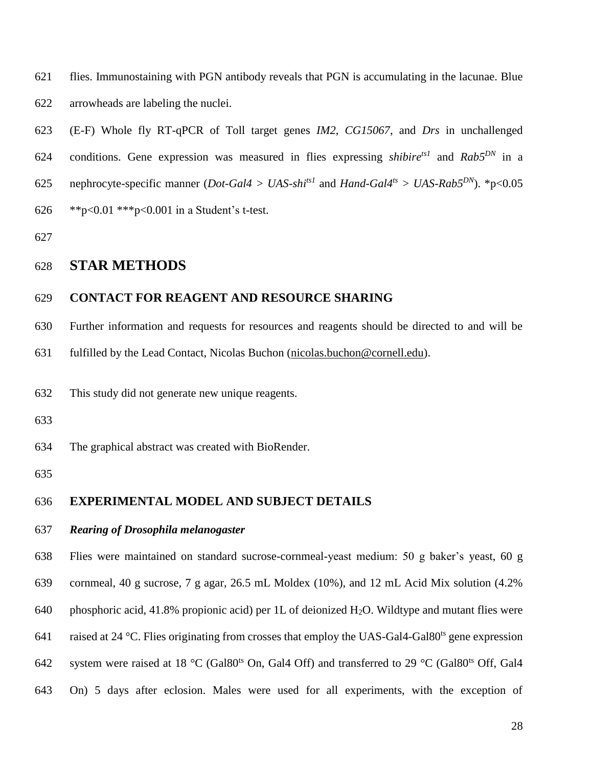flies. Immunostaining with PGN antibody reveals that PGN is accumulating in the lacunae. Blue arrowheads are labeling the nuclei.

 (E-F) Whole fly RT-qPCR of Toll target genes *IM2*, *CG15067*, and *Drs* in unchallenged 624 conditions. Gene expression was measured in flies expressing *shibire*<sup>*ts1*</sup> and  $Rab5^{DN}$  in a 625 nephrocyte-specific manner (*Dot-Gal4 > UAS-shi<sup>ts1</sup>* and *Hand-Gal4<sup>ts</sup> > UAS-Rab5<sup>DN</sup>).* \*p<0.05 \*\*p<0.01 \*\*\*p<0.001 in a Student's t-test.

# **STAR METHODS**

### **CONTACT FOR REAGENT AND RESOURCE SHARING**

Further information and requests for resources and reagents should be directed to and will be

fulfilled by the Lead Contact, Nicolas Buchon [\(nicolas.buchon@cornell.edu\)](mailto:nicolas.buchon@cornell.edu).

This study did not generate new unique reagents.

The graphical abstract was created with BioRender.

### **EXPERIMENTAL MODEL AND SUBJECT DETAILS**

#### *Rearing of Drosophila melanogaster*

 Flies were maintained on standard sucrose-cornmeal-yeast medium: 50 g baker's yeast, 60 g cornmeal, 40 g sucrose, 7 g agar, 26.5 mL Moldex (10%), and 12 mL Acid Mix solution (4.2% 640 phosphoric acid, 41.8% propionic acid) per 1L of deionized H<sub>2</sub>O. Wildtype and mutant flies were 641 raised at 24 °C. Flies originating from crosses that employ the UAS-Gal4-Gal80<sup>ts</sup> gene expression 642 system were raised at 18  $^{\circ}$ C (Gal80<sup>ts</sup> On, Gal4 Off) and transferred to 29  $^{\circ}$ C (Gal80<sup>ts</sup> Off, Gal4 On) 5 days after eclosion. Males were used for all experiments, with the exception of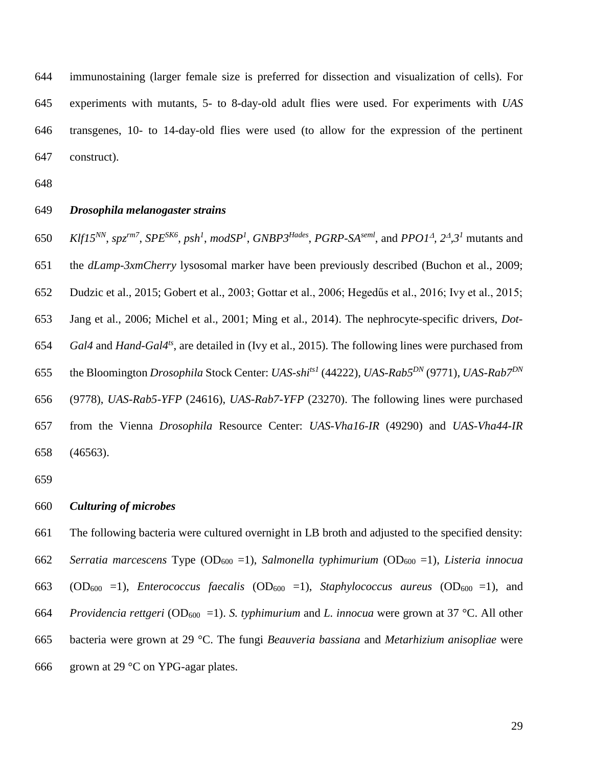immunostaining (larger female size is preferred for dissection and visualization of cells). For experiments with mutants, 5- to 8-day-old adult flies were used. For experiments with *UAS* transgenes, 10- to 14-day-old flies were used (to allow for the expression of the pertinent construct).

#### *Drosophila melanogaster strains*

650 Klf15<sup>NN</sup>, spz<sup>rm7</sup>, SPE<sup>SK6</sup>, psh<sup>1</sup>, modSP<sup>1</sup>, GNBP3<sup>Hades</sup>, PGRP-SA<sup>seml</sup>, and PPO1<sup>A</sup>, 2<sup>A</sup>,3<sup>1</sup> mutants and the *dLamp-3xmCherry* lysosomal marker have been previously described (Buchon et al., 2009; Dudzic et al., 2015; Gobert et al., 2003; Gottar et al., 2006; Hegedűs et al., 2016; Ivy et al., 2015; Jang et al., 2006; Michel et al., 2001; Ming et al., 2014). The nephrocyte-specific drivers, *Dot-Gal4* and *Hand-Gal4<sup>ts</sup>*, are detailed in (Ivy et al., 2015). The following lines were purchased from the Bloomington *Drosophila* Stock Center: *UAS-shits1* (44222), *UAS-Rab5DN* (9771), *UAS-Rab7DN* (9778), *UAS-Rab5-YFP* (24616), *UAS-Rab7-YFP* (23270). The following lines were purchased from the Vienna *Drosophila* Resource Center: *UAS-Vha16-IR* (49290) and *UAS-Vha44-IR* (46563).

*Culturing of microbes*

 The following bacteria were cultured overnight in LB broth and adjusted to the specified density: *Serratia marcescens* Type (OD<sup>600</sup> =1), *Salmonella typhimurium* (OD<sup>600</sup> =1), *Listeria innocua* 663 (OD<sub>600</sub> =1), *Enterococcus faecalis* (OD<sub>600</sub> =1), *Staphylococcus aureus* (OD<sub>600</sub> =1), and *Providencia rettgeri* (OD600 =1). *S. typhimurium* and *L. innocua* were grown at 37 °C. All other bacteria were grown at 29 °C. The fungi *Beauveria bassiana* and *Metarhizium anisopliae* were 666 grown at 29  $\degree$ C on YPG-agar plates.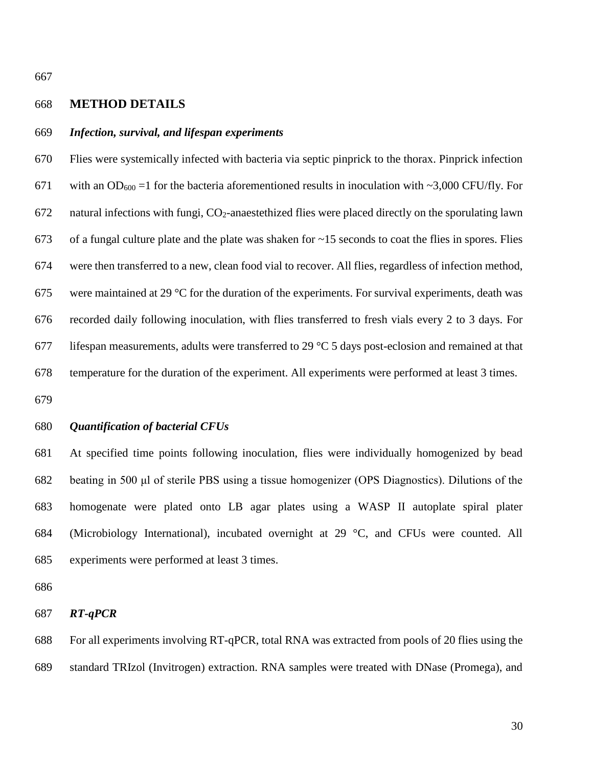#### **METHOD DETAILS**

#### *Infection, survival, and lifespan experiments*

 Flies were systemically infected with bacteria via septic pinprick to the thorax. Pinprick infection 671 with an OD<sub>600</sub> =1 for the bacteria aforementioned results in inoculation with ~3,000 CFU/fly. For natural infections with fungi, CO2-anaestethized flies were placed directly on the sporulating lawn 673 of a fungal culture plate and the plate was shaken for  $\sim$ 15 seconds to coat the flies in spores. Flies were then transferred to a new, clean food vial to recover. All flies, regardless of infection method, 675 were maintained at 29  $\degree$ C for the duration of the experiments. For survival experiments, death was recorded daily following inoculation, with flies transferred to fresh vials every 2 to 3 days. For 677 lifespan measurements, adults were transferred to 29  $\degree$ C 5 days post-eclosion and remained at that temperature for the duration of the experiment. All experiments were performed at least 3 times.

## *Quantification of bacterial CFUs*

 At specified time points following inoculation, flies were individually homogenized by bead beating in 500 μl of sterile PBS using a tissue homogenizer (OPS Diagnostics). Dilutions of the homogenate were plated onto LB agar plates using a WASP II autoplate spiral plater (Microbiology International), incubated overnight at 29 °C, and CFUs were counted. All experiments were performed at least 3 times.

#### *RT-qPCR*

 For all experiments involving RT-qPCR, total RNA was extracted from pools of 20 flies using the standard TRIzol (Invitrogen) extraction. RNA samples were treated with DNase (Promega), and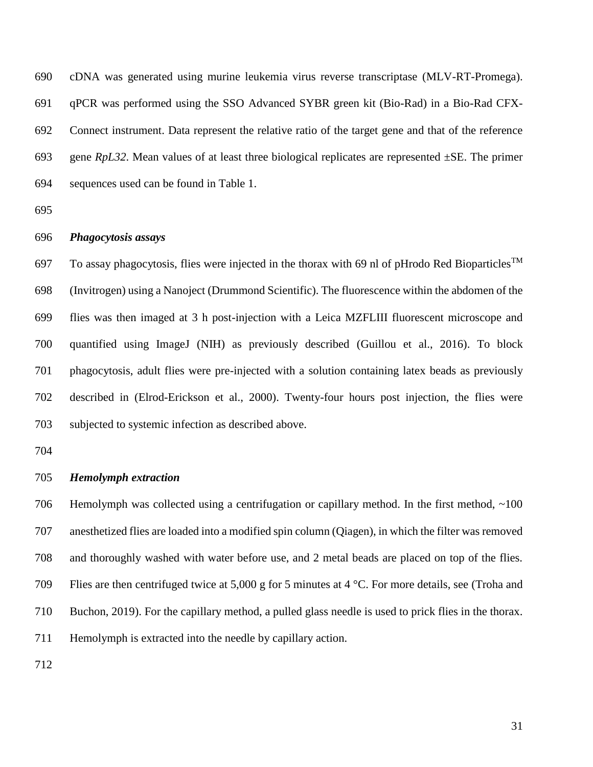cDNA was generated using murine leukemia virus reverse transcriptase (MLV-RT-Promega). qPCR was performed using the SSO Advanced SYBR green kit (Bio-Rad) in a Bio-Rad CFX- Connect instrument. Data represent the relative ratio of the target gene and that of the reference gene *RpL32*. Mean values of at least three biological replicates are represented ±SE. The primer sequences used can be found in Table 1.

## *Phagocytosis assays*

To assay phagocytosis, flies were injected in the thorax with 69 nl of pHrodo Red Bioparticles<sup>TM</sup> (Invitrogen) using a Nanoject (Drummond Scientific). The fluorescence within the abdomen of the flies was then imaged at 3 h post-injection with a Leica MZFLIII fluorescent microscope and quantified using ImageJ (NIH) as previously described (Guillou et al., 2016). To block phagocytosis, adult flies were pre-injected with a solution containing latex beads as previously described in (Elrod-Erickson et al., 2000). Twenty-four hours post injection, the flies were subjected to systemic infection as described above.

#### *Hemolymph extraction*

706 Hemolymph was collected using a centrifugation or capillary method. In the first method, ~100 anesthetized flies are loaded into a modified spin column (Qiagen), in which the filter was removed and thoroughly washed with water before use, and 2 metal beads are placed on top of the flies. Flies are then centrifuged twice at 5,000 g for 5 minutes at 4 °C. For more details, see (Troha and Buchon, 2019). For the capillary method, a pulled glass needle is used to prick flies in the thorax. Hemolymph is extracted into the needle by capillary action.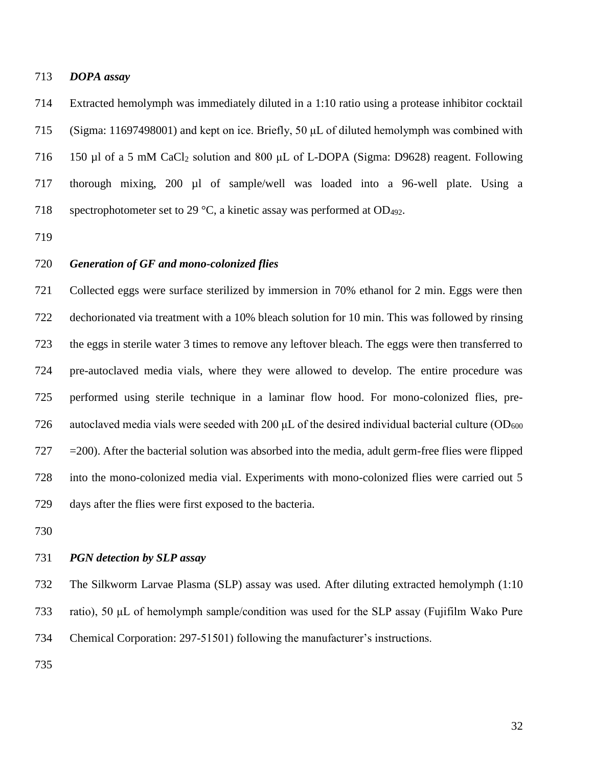### *DOPA assay*

 Extracted hemolymph was immediately diluted in a 1:10 ratio using a protease inhibitor cocktail (Sigma: 11697498001) and kept on ice. Briefly, 50 μL of diluted hemolymph was combined with 716 150 µl of a 5 mM CaCl<sub>2</sub> solution and 800 µL of L-DOPA (Sigma: D9628) reagent. Following thorough mixing, 200 µl of sample/well was loaded into a 96-well plate. Using a 718 spectrophotometer set to 29  $\degree$ C, a kinetic assay was performed at OD<sub>492</sub>.

## *Generation of GF and mono-colonized flies*

 Collected eggs were surface sterilized by immersion in 70% ethanol for 2 min. Eggs were then dechorionated via treatment with a 10% bleach solution for 10 min. This was followed by rinsing the eggs in sterile water 3 times to remove any leftover bleach. The eggs were then transferred to pre-autoclaved media vials, where they were allowed to develop. The entire procedure was performed using sterile technique in a laminar flow hood. For mono-colonized flies, pre-726 autoclaved media vials were seeded with 200  $\mu$ L of the desired individual bacterial culture (OD<sub>600</sub>) =200). After the bacterial solution was absorbed into the media, adult germ-free flies were flipped into the mono-colonized media vial. Experiments with mono-colonized flies were carried out 5 days after the flies were first exposed to the bacteria.

#### *PGN detection by SLP assay*

 The Silkworm Larvae Plasma (SLP) assay was used. After diluting extracted hemolymph (1:10 ratio), 50 μL of hemolymph sample/condition was used for the SLP assay (Fujifilm Wako Pure Chemical Corporation: 297-51501) following the manufacturer's instructions.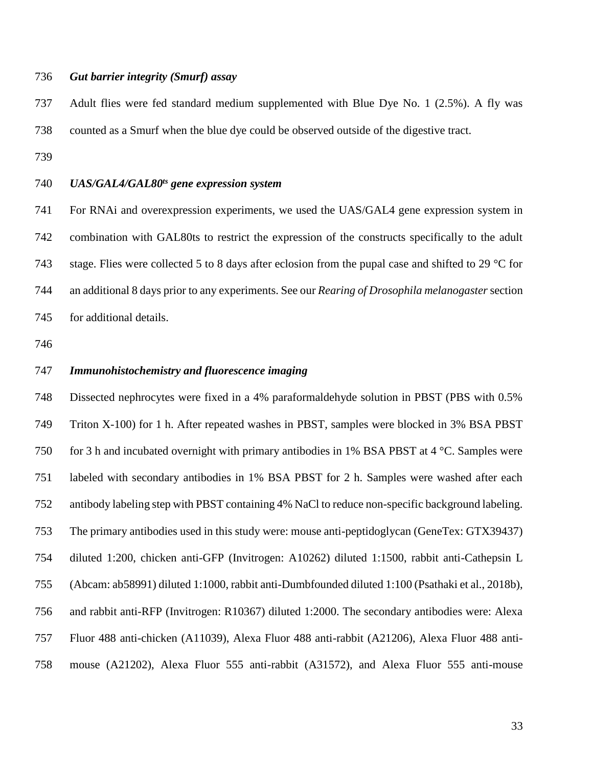#### *Gut barrier integrity (Smurf) assay*

 Adult flies were fed standard medium supplemented with Blue Dye No. 1 (2.5%). A fly was counted as a Smurf when the blue dye could be observed outside of the digestive tract.

### *UAS/GAL4/GAL80ts gene expression system*

 For RNAi and overexpression experiments, we used the UAS/GAL4 gene expression system in combination with GAL80ts to restrict the expression of the constructs specifically to the adult stage. Flies were collected 5 to 8 days after eclosion from the pupal case and shifted to 29 °C for an additional 8 days prior to any experiments. See our *Rearing of Drosophila melanogaster* section for additional details.

## *Immunohistochemistry and fluorescence imaging*

 Dissected nephrocytes were fixed in a 4% paraformaldehyde solution in PBST (PBS with 0.5% Triton X-100) for 1 h. After repeated washes in PBST, samples were blocked in 3% BSA PBST 750 for 3 h and incubated overnight with primary antibodies in 1% BSA PBST at 4  $\degree$ C. Samples were labeled with secondary antibodies in 1% BSA PBST for 2 h. Samples were washed after each antibody labeling step with PBST containing 4% NaCl to reduce non-specific background labeling. The primary antibodies used in this study were: mouse anti-peptidoglycan (GeneTex: GTX39437) diluted 1:200, chicken anti-GFP (Invitrogen: A10262) diluted 1:1500, rabbit anti-Cathepsin L (Abcam: ab58991) diluted 1:1000, rabbit anti-Dumbfounded diluted 1:100 (Psathaki et al., 2018b), and rabbit anti-RFP (Invitrogen: R10367) diluted 1:2000. The secondary antibodies were: Alexa Fluor 488 anti-chicken (A11039), Alexa Fluor 488 anti-rabbit (A21206), Alexa Fluor 488 anti-mouse (A21202), Alexa Fluor 555 anti-rabbit (A31572), and Alexa Fluor 555 anti-mouse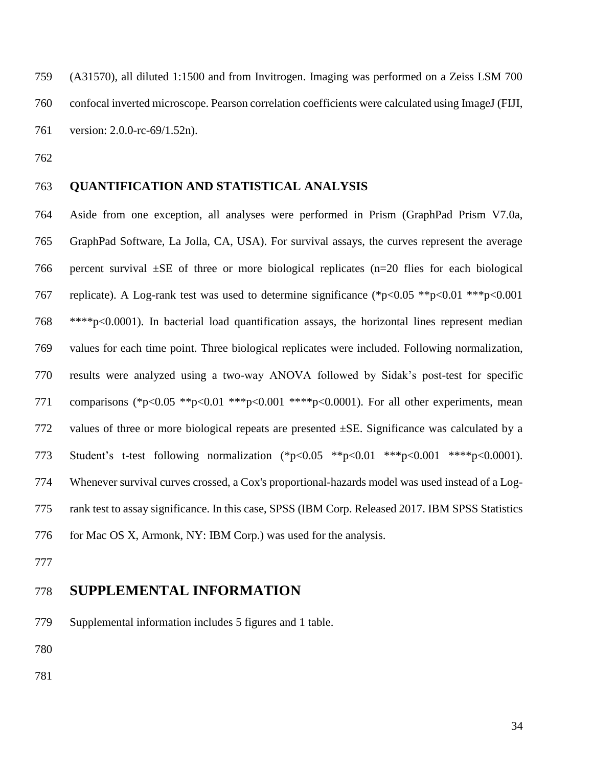(A31570), all diluted 1:1500 and from Invitrogen. Imaging was performed on a Zeiss LSM 700 confocal inverted microscope. Pearson correlation coefficients were calculated using ImageJ (FIJI, version: 2.0.0-rc-69/1.52n).

## **QUANTIFICATION AND STATISTICAL ANALYSIS**

 Aside from one exception, all analyses were performed in Prism (GraphPad Prism V7.0a, GraphPad Software, La Jolla, CA, USA). For survival assays, the curves represent the average 766 percent survival  $\pm$ SE of three or more biological replicates (n=20 flies for each biological replicate). A Log-rank test was used to determine significance (\*p<0.05 \*\*p<0.01 \*\*\*p<0.001 \*\*\*\*p<0.0001). In bacterial load quantification assays, the horizontal lines represent median values for each time point. Three biological replicates were included. Following normalization, results were analyzed using a two-way ANOVA followed by Sidak's post-test for specific 771 comparisons (\*p<0.05 \*\*p<0.01 \*\*\*p<0.001 \*\*\*\*p<0.0001). For all other experiments, mean 772 values of three or more biological repeats are presented  $\pm$ SE. Significance was calculated by a 773 Student's t-test following normalization (\*p<0.05 \*\*p<0.01 \*\*\*p<0.001 \*\*\*\*p<0.0001). Whenever survival curves crossed, a Cox's proportional-hazards model was used instead of a Log- rank test to assay significance. In this case, SPSS (IBM Corp. Released 2017. IBM SPSS Statistics 776 for Mac OS X, Armonk, NY: IBM Corp.) was used for the analysis.

## **SUPPLEMENTAL INFORMATION**

Supplemental information includes 5 figures and 1 table.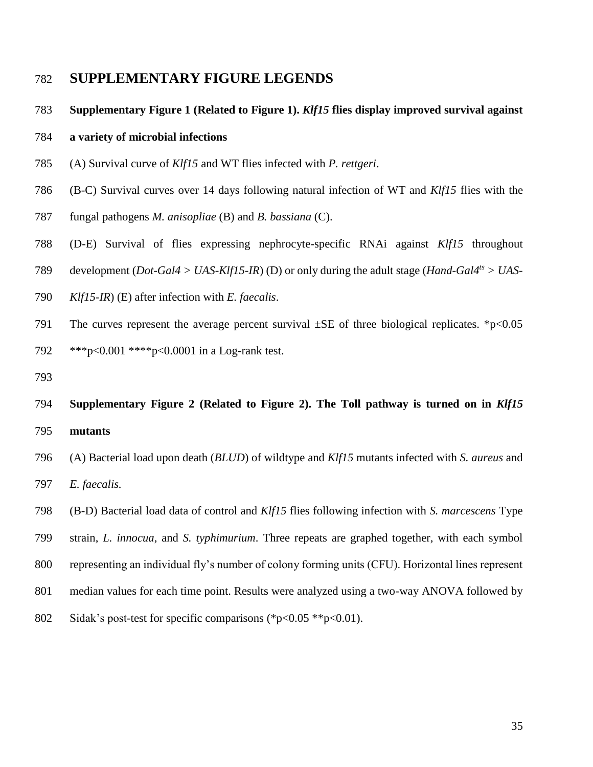# **SUPPLEMENTARY FIGURE LEGENDS**

**Supplementary Figure 1 (Related to Figure 1).** *Klf15* **flies display improved survival against** 

#### **a variety of microbial infections**

- (A) Survival curve of *Klf15* and WT flies infected with *P. rettgeri*.
- (B-C) Survival curves over 14 days following natural infection of WT and *Klf15* flies with the
- fungal pathogens *M. anisopliae* (B) and *B. bassiana* (C).
- (D-E) Survival of flies expressing nephrocyte-specific RNAi against *Klf15* throughout
- 789 development (*Dot-Gal4 > UAS-Klf15-IR*) (D) or only during the adult stage (*Hand-Gal4<sup>ts</sup> > UAS-*
- *Klf15-IR*) (E) after infection with *E. faecalis*.
- 791 The curves represent the average percent survival  $\pm$ SE of three biological replicates. \*p<0.05 \*\*\*p<0.001 \*\*\*\*p<0.0001 in a Log-rank test.
- 
- **Supplementary Figure 2 (Related to Figure 2). The Toll pathway is turned on in** *Klf15* **mutants**
- (A) Bacterial load upon death (*BLUD*) of wildtype and *Klf15* mutants infected with *S. aureus* and *E. faecalis.*
- (B-D) Bacterial load data of control and *Klf15* flies following infection with *S. marcescens* Type
- strain, *L. innocua*, and *S. typhimurium*. Three repeats are graphed together, with each symbol
- representing an individual fly's number of colony forming units (CFU). Horizontal lines represent
- median values for each time point. Results were analyzed using a two-way ANOVA followed by
- Sidak's post-test for specific comparisons (\*p<0.05 \*\*p<0.01).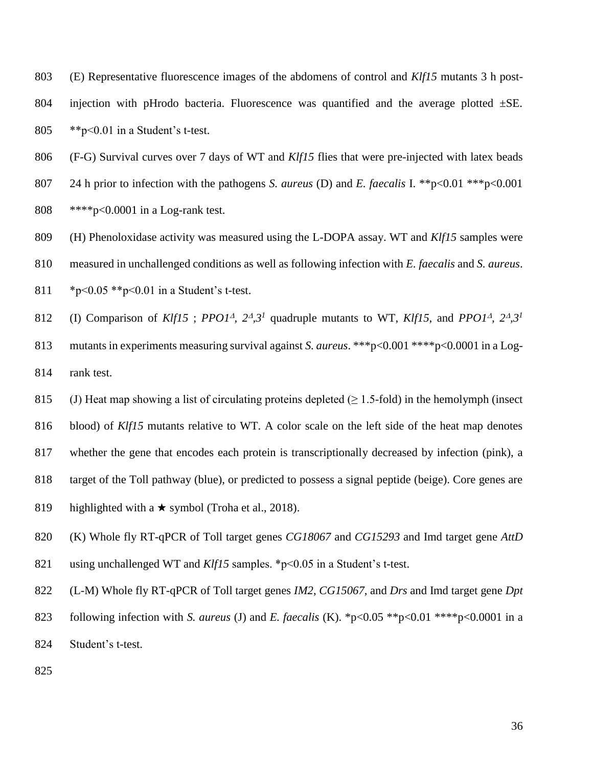(E) Representative fluorescence images of the abdomens of control and *Klf15* mutants 3 h post-804 injection with pHrodo bacteria. Fluorescence was quantified and the average plotted  $\pm$ SE. \*\*p<0.01 in a Student's t-test.

(F-G) Survival curves over 7 days of WT and *Klf15* flies that were pre-injected with latex beads

 24 h prior to infection with the pathogens *S. aureus* (D) and *E. faecalis* I. \*\*p<0.01 \*\*\*p<0.001 \*\*\*\*p<0.0001 in a Log-rank test.

(H) Phenoloxidase activity was measured using the L-DOPA assay. WT and *Klf15* samples were

measured in unchallenged conditions as well as following infection with *E. faecalis* and *S. aureus*.

\*p<0.05 \*\*p<0.01 in a Student's t-test.

(I) Comparison of *Klf15*; *PPO1<sup>A</sup>*,  $2^A$ ,  $3^I$  quadruple mutants to WT, *Klf15*, and *PPO1<sup>A</sup>*,  $2^A$ ,  $3^I$  mutants in experiments measuring survival against *S. aureus*. \*\*\*p<0.001 \*\*\*\*p<0.0001 in a Log-rank test.

815 (J) Heat map showing a list of circulating proteins depleted  $(\geq 1.5\text{-fold})$  in the hemolymph (insect

blood) of *Klf15* mutants relative to WT. A color scale on the left side of the heat map denotes

whether the gene that encodes each protein is transcriptionally decreased by infection (pink), a

- target of the Toll pathway (blue), or predicted to possess a signal peptide (beige). Core genes are
- 819 highlighted with a  $\star$  symbol (Troha et al., 2018).
- (K) Whole fly RT-qPCR of Toll target genes *CG18067* and *CG15293* and Imd target gene *AttD*
- using unchallenged WT and *Klf15* samples. \*p<0.05 in a Student's t-test.
- (L-M) Whole fly RT-qPCR of Toll target genes *IM2*, *CG15067*, and *Drs* and Imd target gene *Dpt*
- following infection with *S. aureus* (J) and *E. faecalis* (K). \*p<0.05 \*\*p<0.01 \*\*\*\*p<0.0001 in a
- Student's t-test.
-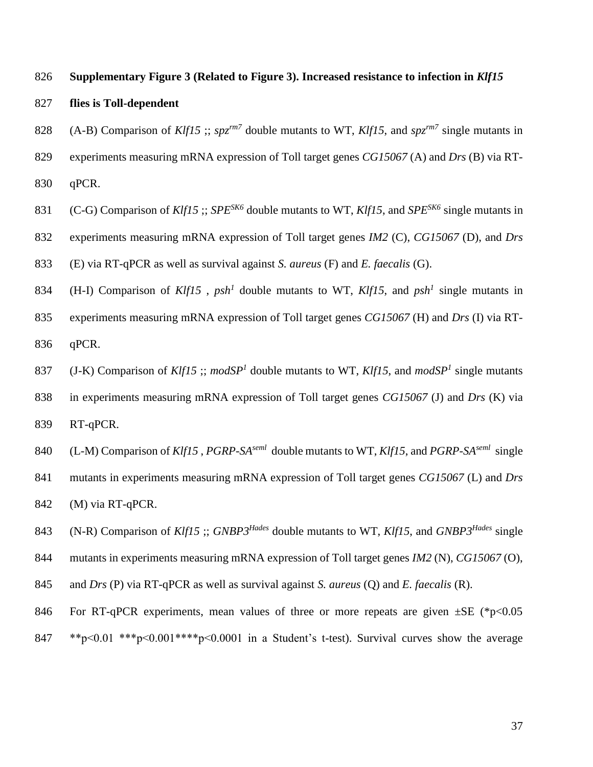#### **Supplementary Figure 3 (Related to Figure 3). Increased resistance to infection in** *Klf15*

- **flies is Toll-dependent**
- 828 (A-B) Comparison of *Klf15* ;;  $spz^{rm7}$  double mutants to WT, *Klf15*, and  $spz^{rm7}$  single mutants in
- experiments measuring mRNA expression of Toll target genes *CG15067* (A) and *Drs* (B) via RT-
- qPCR.
- 831 (C-G) Comparison of *Klf15* ;; *SPE<sup>SK6</sup>* double mutants to WT, *Klf15*, and *SPE<sup>SK6</sup>* single mutants in
- experiments measuring mRNA expression of Toll target genes *IM2* (C), *CG15067* (D), and *Drs*
- (E) via RT-qPCR as well as survival against *S. aureus* (F) and *E. faecalis* (G).
- 834 (H-I) Comparison of *Klf15*,  $psh^1$  double mutants to WT, *Klf15*, and  $psh^1$  single mutants in
- experiments measuring mRNA expression of Toll target genes *CG15067* (H) and *Drs* (I) via RT-qPCR.
- 837 (J-K) Comparison of *Klf15*; *modSP<sup>1</sup>* double mutants to WT, *Klf15*, and *modSP<sup>1</sup>* single mutants in experiments measuring mRNA expression of Toll target genes *CG15067* (J) and *Drs* (K) via
- RT-qPCR.
- 840 (L-M) Comparison of *Klf15*, *PGRP-SA*<sup>*seml*</sup> double mutants to WT, *Klf15*, and *PGRP-SA<sup>seml</sup>* single mutants in experiments measuring mRNA expression of Toll target genes *CG15067* (L) and *Drs*
- (M) via RT-qPCR.
- 843 (N-R) Comparison of *Klf15* ;; *GNBP3<sup>Hades</sup>* double mutants to WT, *Klf15*, and *GNBP3<sup>Hades</sup>* single
- mutants in experiments measuring mRNA expression of Toll target genes *IM2* (N), *CG15067* (O),
- and *Drs* (P) via RT-qPCR as well as survival against *S. aureus* (Q) and *E. faecalis* (R).
- 846 For RT-qPCR experiments, mean values of three or more repeats are given  $\pm$ SE (\*p<0.05
- \*\*p<0.01 \*\*\*p<0.001 \*\*\*\*p<0.0001 in a Student's t-test). Survival curves show the average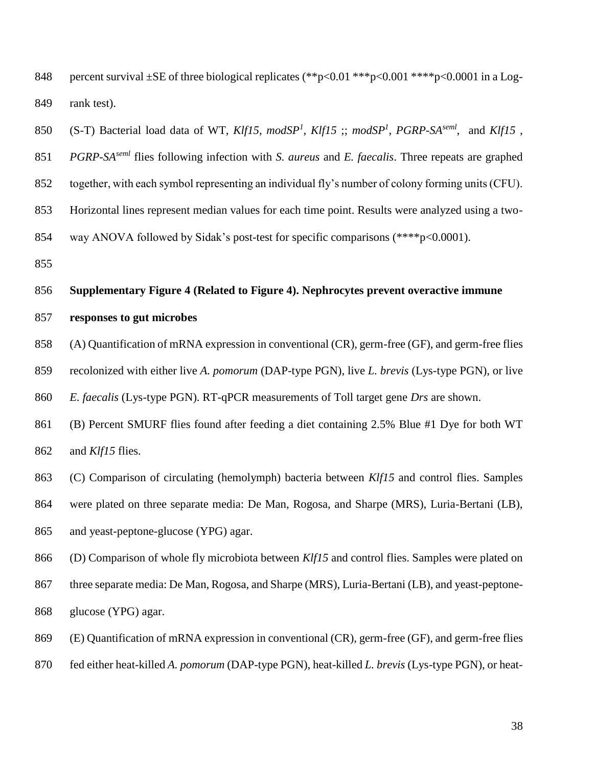848 percent survival  $\pm$ SE of three biological replicates (\*\*p<0.01 \*\*\*p<0.001 \*\*\*\*p<0.0001 in a Log-rank test).

650 (S-T) Bacterial load data of WT,  $K\{f15, \mod SP^1, K\{f15\}; \mod SP^1, PGRP-SA^{semi}, \mod K\{f15\}$ ,

851 *PGRP-SA*<sup>*seml*</sup> flies following infection with *S. aureus* and *E. faecalis*. Three repeats are graphed

together, with each symbol representing an individual fly's number of colony forming units (CFU).

Horizontal lines represent median values for each time point. Results were analyzed using a two-

way ANOVA followed by Sidak's post-test for specific comparisons (\*\*\*\*p<0.0001).

#### **Supplementary Figure 4 (Related to Figure 4). Nephrocytes prevent overactive immune**

#### **responses to gut microbes**

(A) Quantification of mRNA expression in conventional (CR), germ-free (GF), and germ-free flies

recolonized with either live *A. pomorum* (DAP-type PGN), live *L. brevis* (Lys-type PGN), or live

*E. faecalis* (Lys-type PGN). RT-qPCR measurements of Toll target gene *Drs* are shown.

 (B) Percent SMURF flies found after feeding a diet containing 2.5% Blue #1 Dye for both WT and *Klf15* flies.

(C) Comparison of circulating (hemolymph) bacteria between *Klf15* and control flies. Samples

were plated on three separate media: De Man, Rogosa, and Sharpe (MRS), Luria-Bertani (LB),

and yeast-peptone-glucose (YPG) agar.

(D) Comparison of whole fly microbiota between *Klf15* and control flies. Samples were plated on

867 three separate media: De Man, Rogosa, and Sharpe (MRS), Luria-Bertani (LB), and yeast-peptone-glucose (YPG) agar.

(E) Quantification of mRNA expression in conventional (CR), germ-free (GF), and germ-free flies

fed either heat-killed *A. pomorum* (DAP-type PGN), heat-killed *L. brevis* (Lys-type PGN), or heat-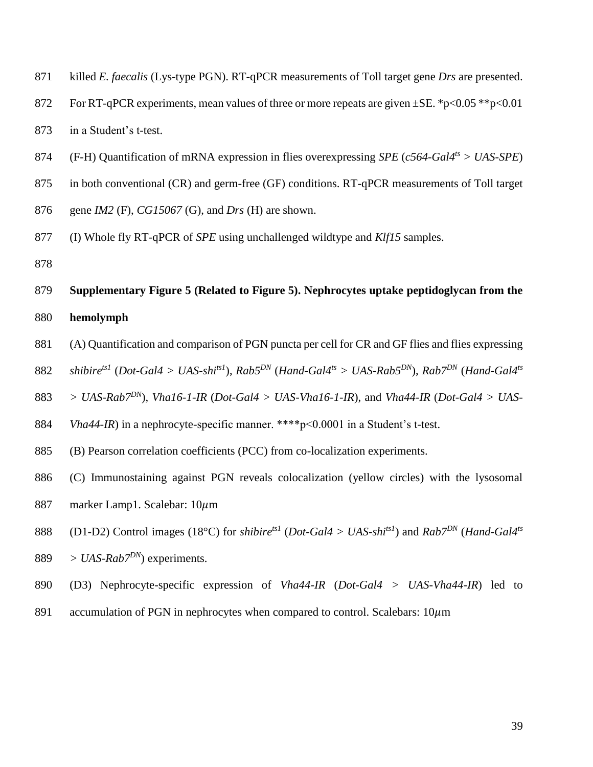| 871 | killed E. faecalis (Lys-type PGN). RT-qPCR measurements of Toll target gene Drs are presented.                                                                                     |
|-----|------------------------------------------------------------------------------------------------------------------------------------------------------------------------------------|
| 872 | For RT-qPCR experiments, mean values of three or more repeats are given $\pm$ SE. *p<0.05 **p<0.01                                                                                 |
| 873 | in a Student's t-test.                                                                                                                                                             |
| 874 | (F-H) Quantification of mRNA expression in flies overexpressing <i>SPE</i> ( $c$ 564-Gal4 <sup>ts</sup> > UAS-SPE)                                                                 |
| 875 | in both conventional (CR) and germ-free (GF) conditions. RT-qPCR measurements of Toll target                                                                                       |
| 876 | gene $IM2$ (F), $CG15067$ (G), and Drs (H) are shown.                                                                                                                              |
| 877 | (I) Whole fly RT-qPCR of <i>SPE</i> using unchallenged wildtype and $Klf15$ samples.                                                                                               |
| 878 |                                                                                                                                                                                    |
| 879 | Supplementary Figure 5 (Related to Figure 5). Nephrocytes uptake peptidoglycan from the                                                                                            |
| 880 | hemolymph                                                                                                                                                                          |
| 881 | (A) Quantification and comparison of PGN puncta per cell for CR and GF flies and flies expressing                                                                                  |
| 882 | shibire <sup>ts1</sup> (Dot-Gal4 > UAS-shi <sup>ts1</sup> ), Rab5 <sup>DN</sup> (Hand-Gal4 <sup>ts</sup> > UAS-Rab5 <sup>DN</sup> ), Rab7 <sup>DN</sup> (Hand-Gal4 <sup>ts</sup> ) |
| 883 | > UAS-Rab <sup>7DN</sup> ), Vha16-1-IR (Dot-Gal4 > UAS-Vha16-1-IR), and Vha44-IR (Dot-Gal4 > UAS-                                                                                  |
| 884 | Vha44-IR) in a nephrocyte-specific manner. ****p<0.0001 in a Student's t-test.                                                                                                     |
| 885 | (B) Pearson correlation coefficients (PCC) from co-localization experiments.                                                                                                       |
| 886 | (C) Immunostaining against PGN reveals colocalization (yellow circles) with the lysosomal                                                                                          |
| 887 |                                                                                                                                                                                    |
|     | marker Lamp1. Scalebar: 10µm                                                                                                                                                       |
| 888 | (D1-D2) Control images (18°C) for <i>shibire<sup>ts1</sup></i> ( <i>Dot-Gal4</i> > <i>UAS-shi<sup>ts1</sup></i> ) and <i>Rab</i> 7 <sup>DN</sup> ( <i>Hand-Gal4<sup>ts</sup></i>   |
| 889 | > UAS-Rab $7^{DN}$ ) experiments.                                                                                                                                                  |

891 accumulation of PGN in nephrocytes when compared to control. Scalebars:  $10 \mu m$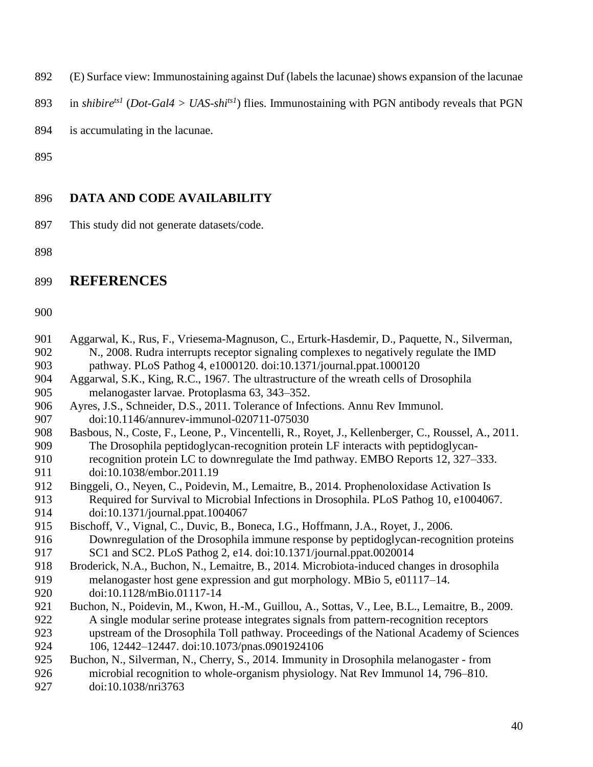(E) Surface view: Immunostaining against Duf (labels the lacunae) shows expansion of the lacunae

893 in *shibire<sup>ts1</sup>* (*Dot-Gal4 > UAS-shi<sup>ts1</sup>*) flies. Immunostaining with PGN antibody reveals that PGN

is accumulating in the lacunae.

# **DATA AND CODE AVAILABILITY**

This study did not generate datasets/code.

# **REFERENCES**

| 901 | Aggarwal, K., Rus, F., Vriesema-Magnuson, C., Erturk-Hasdemir, D., Paquette, N., Silverman, |
|-----|---------------------------------------------------------------------------------------------|
| 902 | N., 2008. Rudra interrupts receptor signaling complexes to negatively regulate the IMD      |
| 903 | pathway. PLoS Pathog 4, e1000120. doi:10.1371/journal.ppat.1000120                          |

- Aggarwal, S.K., King, R.C., 1967. The ultrastructure of the wreath cells of Drosophila melanogaster larvae. Protoplasma 63, 343–352.
- Ayres, J.S., Schneider, D.S., 2011. Tolerance of Infections. Annu Rev Immunol. doi:10.1146/annurev-immunol-020711-075030
- Basbous, N., Coste, F., Leone, P., Vincentelli, R., Royet, J., Kellenberger, C., Roussel, A., 2011. The Drosophila peptidoglycan-recognition protein LF interacts with peptidoglycan-
- recognition protein LC to downregulate the Imd pathway. EMBO Reports 12, 327–333. 911 doi:10.1038/embor.2011.19<br>912 Binggeli, O., Neven, C., Poidevi
- Binggeli, O., Neyen, C., Poidevin, M., Lemaitre, B., 2014. Prophenoloxidase Activation Is Required for Survival to Microbial Infections in Drosophila. PLoS Pathog 10, e1004067. doi:10.1371/journal.ppat.1004067
- Bischoff, V., Vignal, C., Duvic, B., Boneca, I.G., Hoffmann, J.A., Royet, J., 2006. Downregulation of the Drosophila immune response by peptidoglycan-recognition proteins
- SC1 and SC2. PLoS Pathog 2, e14. doi:10.1371/journal.ppat.0020014
- Broderick, N.A., Buchon, N., Lemaitre, B., 2014. Microbiota-induced changes in drosophila melanogaster host gene expression and gut morphology. MBio 5, e01117–14. doi:10.1128/mBio.01117-14
- Buchon, N., Poidevin, M., Kwon, H.-M., Guillou, A., Sottas, V., Lee, B.L., Lemaitre, B., 2009. A single modular serine protease integrates signals from pattern-recognition receptors upstream of the Drosophila Toll pathway. Proceedings of the National Academy of Sciences 106, 12442–12447. doi:10.1073/pnas.0901924106
- Buchon, N., Silverman, N., Cherry, S., 2014. Immunity in Drosophila melanogaster from microbial recognition to whole-organism physiology. Nat Rev Immunol 14, 796–810. doi:10.1038/nri3763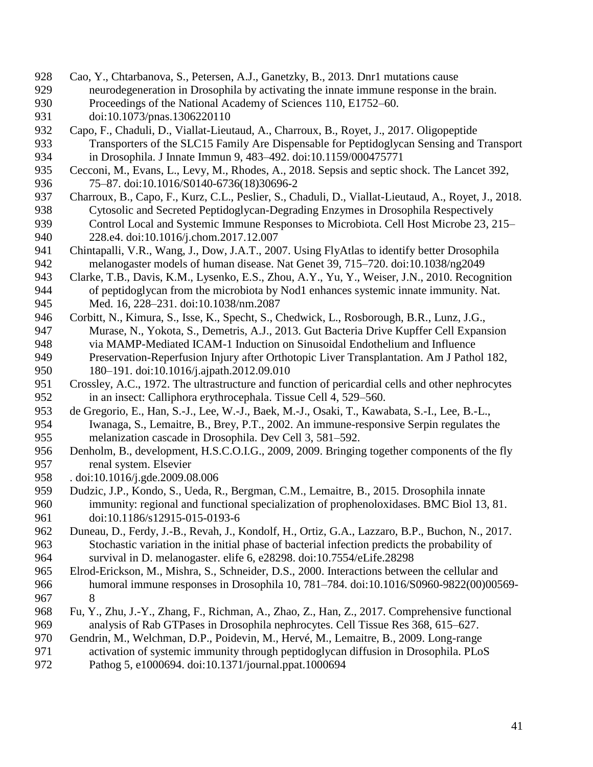- Cao, Y., Chtarbanova, S., Petersen, A.J., Ganetzky, B., 2013. Dnr1 mutations cause
- neurodegeneration in Drosophila by activating the innate immune response in the brain. Proceedings of the National Academy of Sciences 110, E1752–60.
- doi:10.1073/pnas.1306220110
- Capo, F., Chaduli, D., Viallat-Lieutaud, A., Charroux, B., Royet, J., 2017. Oligopeptide Transporters of the SLC15 Family Are Dispensable for Peptidoglycan Sensing and Transport in Drosophila. J Innate Immun 9, 483–492. doi:10.1159/000475771
- Cecconi, M., Evans, L., Levy, M., Rhodes, A., 2018. Sepsis and septic shock. The Lancet 392, 75–87. doi:10.1016/S0140-6736(18)30696-2
- Charroux, B., Capo, F., Kurz, C.L., Peslier, S., Chaduli, D., Viallat-Lieutaud, A., Royet, J., 2018. Cytosolic and Secreted Peptidoglycan-Degrading Enzymes in Drosophila Respectively Control Local and Systemic Immune Responses to Microbiota. Cell Host Microbe 23, 215– 228.e4. doi:10.1016/j.chom.2017.12.007
- Chintapalli, V.R., Wang, J., Dow, J.A.T., 2007. Using FlyAtlas to identify better Drosophila melanogaster models of human disease. Nat Genet 39, 715–720. doi:10.1038/ng2049
- Clarke, T.B., Davis, K.M., Lysenko, E.S., Zhou, A.Y., Yu, Y., Weiser, J.N., 2010. Recognition of peptidoglycan from the microbiota by Nod1 enhances systemic innate immunity. Nat. Med. 16, 228–231. doi:10.1038/nm.2087
- Corbitt, N., Kimura, S., Isse, K., Specht, S., Chedwick, L., Rosborough, B.R., Lunz, J.G., Murase, N., Yokota, S., Demetris, A.J., 2013. Gut Bacteria Drive Kupffer Cell Expansion via MAMP-Mediated ICAM-1 Induction on Sinusoidal Endothelium and Influence Preservation-Reperfusion Injury after Orthotopic Liver Transplantation. Am J Pathol 182, 180–191. doi:10.1016/j.ajpath.2012.09.010
- Crossley, A.C., 1972. The ultrastructure and function of pericardial cells and other nephrocytes in an insect: Calliphora erythrocephala. Tissue Cell 4, 529–560.
- de Gregorio, E., Han, S.-J., Lee, W.-J., Baek, M.-J., Osaki, T., Kawabata, S.-I., Lee, B.-L., Iwanaga, S., Lemaitre, B., Brey, P.T., 2002. An immune-responsive Serpin regulates the melanization cascade in Drosophila. Dev Cell 3, 581–592.
- Denholm, B., development, H.S.C.O.I.G., 2009, 2009. Bringing together components of the fly renal system. Elsevier
- 958 . doi:10.1016/j.gde.2009.08.006<br>959 Dudzic, J.P., Kondo, S., Ueda, R
- Dudzic, J.P., Kondo, S., Ueda, R., Bergman, C.M., Lemaitre, B., 2015. Drosophila innate immunity: regional and functional specialization of prophenoloxidases. BMC Biol 13, 81. doi:10.1186/s12915-015-0193-6
- Duneau, D., Ferdy, J.-B., Revah, J., Kondolf, H., Ortiz, G.A., Lazzaro, B.P., Buchon, N., 2017. Stochastic variation in the initial phase of bacterial infection predicts the probability of survival in D. melanogaster. elife 6, e28298. doi:10.7554/eLife.28298
- Elrod-Erickson, M., Mishra, S., Schneider, D.S., 2000. Interactions between the cellular and humoral immune responses in Drosophila 10, 781–784. doi:10.1016/S0960-9822(00)00569- 8
- Fu, Y., Zhu, J.-Y., Zhang, F., Richman, A., Zhao, Z., Han, Z., 2017. Comprehensive functional analysis of Rab GTPases in Drosophila nephrocytes. Cell Tissue Res 368, 615–627.
- Gendrin, M., Welchman, D.P., Poidevin, M., Hervé, M., Lemaitre, B., 2009. Long-range
- activation of systemic immunity through peptidoglycan diffusion in Drosophila. PLoS
- Pathog 5, e1000694. doi:10.1371/journal.ppat.1000694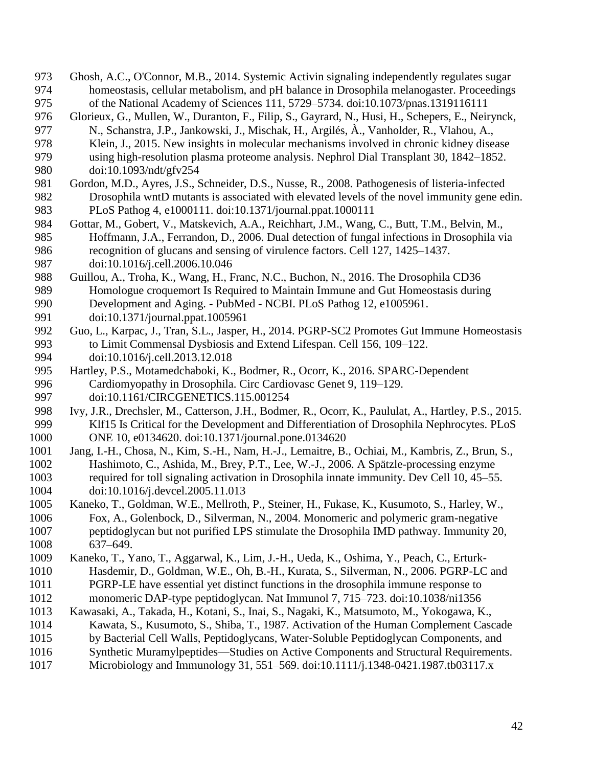- Ghosh, A.C., O'Connor, M.B., 2014. Systemic Activin signaling independently regulates sugar homeostasis, cellular metabolism, and pH balance in Drosophila melanogaster. Proceedings of the National Academy of Sciences 111, 5729–5734. doi:10.1073/pnas.1319116111
- Glorieux, G., Mullen, W., Duranton, F., Filip, S., Gayrard, N., Husi, H., Schepers, E., Neirynck, N., Schanstra, J.P., Jankowski, J., Mischak, H., Argilés, À., Vanholder, R., Vlahou, A.,
- Klein, J., 2015. New insights in molecular mechanisms involved in chronic kidney disease using high-resolution plasma proteome analysis. Nephrol Dial Transplant 30, 1842–1852.
- doi:10.1093/ndt/gfv254
- Gordon, M.D., Ayres, J.S., Schneider, D.S., Nusse, R., 2008. Pathogenesis of listeria-infected Drosophila wntD mutants is associated with elevated levels of the novel immunity gene edin. PLoS Pathog 4, e1000111. doi:10.1371/journal.ppat.1000111
- Gottar, M., Gobert, V., Matskevich, A.A., Reichhart, J.M., Wang, C., Butt, T.M., Belvin, M., Hoffmann, J.A., Ferrandon, D., 2006. Dual detection of fungal infections in Drosophila via recognition of glucans and sensing of virulence factors. Cell 127, 1425–1437. doi:10.1016/j.cell.2006.10.046
- Guillou, A., Troha, K., Wang, H., Franc, N.C., Buchon, N., 2016. The Drosophila CD36 Homologue croquemort Is Required to Maintain Immune and Gut Homeostasis during Development and Aging. - PubMed - NCBI. PLoS Pathog 12, e1005961. doi:10.1371/journal.ppat.1005961
- Guo, L., Karpac, J., Tran, S.L., Jasper, H., 2014. PGRP-SC2 Promotes Gut Immune Homeostasis to Limit Commensal Dysbiosis and Extend Lifespan. Cell 156, 109–122. doi:10.1016/j.cell.2013.12.018
- Hartley, P.S., Motamedchaboki, K., Bodmer, R., Ocorr, K., 2016. SPARC-Dependent Cardiomyopathy in Drosophila. Circ Cardiovasc Genet 9, 119–129. doi:10.1161/CIRCGENETICS.115.001254
- Ivy, J.R., Drechsler, M., Catterson, J.H., Bodmer, R., Ocorr, K., Paululat, A., Hartley, P.S., 2015. Klf15 Is Critical for the Development and Differentiation of Drosophila Nephrocytes. PLoS ONE 10, e0134620. doi:10.1371/journal.pone.0134620
- Jang, I.-H., Chosa, N., Kim, S.-H., Nam, H.-J., Lemaitre, B., Ochiai, M., Kambris, Z., Brun, S., Hashimoto, C., Ashida, M., Brey, P.T., Lee, W.-J., 2006. A Spätzle-processing enzyme required for toll signaling activation in Drosophila innate immunity. Dev Cell 10, 45–55. doi:10.1016/j.devcel.2005.11.013
- Kaneko, T., Goldman, W.E., Mellroth, P., Steiner, H., Fukase, K., Kusumoto, S., Harley, W., Fox, A., Golenbock, D., Silverman, N., 2004. Monomeric and polymeric gram-negative peptidoglycan but not purified LPS stimulate the Drosophila IMD pathway. Immunity 20, 637–649.
- Kaneko, T., Yano, T., Aggarwal, K., Lim, J.-H., Ueda, K., Oshima, Y., Peach, C., Erturk-Hasdemir, D., Goldman, W.E., Oh, B.-H., Kurata, S., Silverman, N., 2006. PGRP-LC and
- PGRP-LE have essential yet distinct functions in the drosophila immune response to monomeric DAP-type peptidoglycan. Nat Immunol 7, 715–723. doi:10.1038/ni1356
- Kawasaki, A., Takada, H., Kotani, S., Inai, S., Nagaki, K., Matsumoto, M., Yokogawa, K.,
- Kawata, S., Kusumoto, S., Shiba, T., 1987. Activation of the Human Complement Cascade
- by Bacterial Cell Walls, Peptidoglycans, Water‐Soluble Peptidoglycan Components, and
- Synthetic Muramylpeptides—Studies on Active Components and Structural Requirements.
- Microbiology and Immunology 31, 551–569. doi:10.1111/j.1348-0421.1987.tb03117.x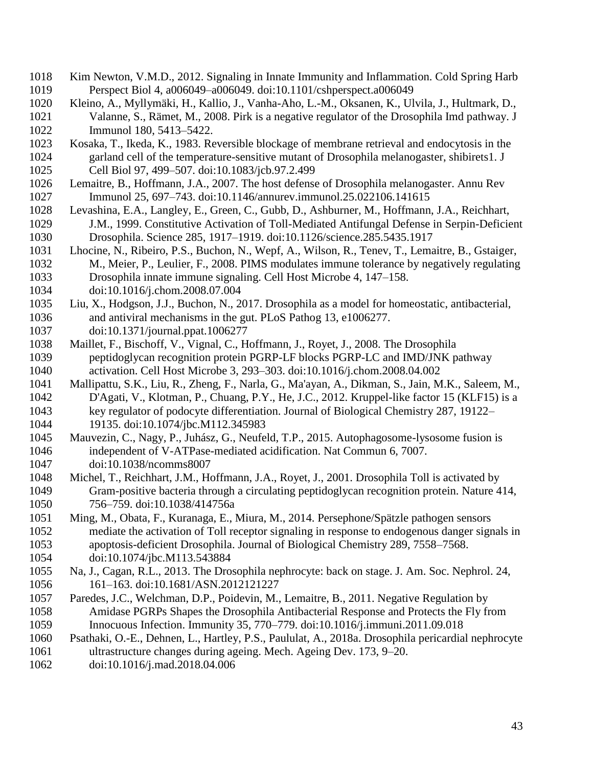- Kim Newton, V.M.D., 2012. Signaling in Innate Immunity and Inflammation. Cold Spring Harb Perspect Biol 4, a006049–a006049. doi:10.1101/cshperspect.a006049
- Kleino, A., Myllymäki, H., Kallio, J., Vanha-Aho, L.-M., Oksanen, K., Ulvila, J., Hultmark, D., Valanne, S., Rämet, M., 2008. Pirk is a negative regulator of the Drosophila Imd pathway. J Immunol 180, 5413–5422.
- Kosaka, T., Ikeda, K., 1983. Reversible blockage of membrane retrieval and endocytosis in the garland cell of the temperature-sensitive mutant of Drosophila melanogaster, shibirets1. J Cell Biol 97, 499–507. doi:10.1083/jcb.97.2.499
- Lemaitre, B., Hoffmann, J.A., 2007. The host defense of Drosophila melanogaster. Annu Rev Immunol 25, 697–743. doi:10.1146/annurev.immunol.25.022106.141615
- Levashina, E.A., Langley, E., Green, C., Gubb, D., Ashburner, M., Hoffmann, J.A., Reichhart, J.M., 1999. Constitutive Activation of Toll-Mediated Antifungal Defense in Serpin-Deficient Drosophila. Science 285, 1917–1919. doi:10.1126/science.285.5435.1917
- Lhocine, N., Ribeiro, P.S., Buchon, N., Wepf, A., Wilson, R., Tenev, T., Lemaitre, B., Gstaiger, M., Meier, P., Leulier, F., 2008. PIMS modulates immune tolerance by negatively regulating Drosophila innate immune signaling. Cell Host Microbe 4, 147–158.

doi:10.1016/j.chom.2008.07.004

 Liu, X., Hodgson, J.J., Buchon, N., 2017. Drosophila as a model for homeostatic, antibacterial, and antiviral mechanisms in the gut. PLoS Pathog 13, e1006277.

doi:10.1371/journal.ppat.1006277

- Maillet, F., Bischoff, V., Vignal, C., Hoffmann, J., Royet, J., 2008. The Drosophila peptidoglycan recognition protein PGRP-LF blocks PGRP-LC and IMD/JNK pathway activation. Cell Host Microbe 3, 293–303. doi:10.1016/j.chom.2008.04.002
- Mallipattu, S.K., Liu, R., Zheng, F., Narla, G., Ma'ayan, A., Dikman, S., Jain, M.K., Saleem, M., D'Agati, V., Klotman, P., Chuang, P.Y., He, J.C., 2012. Kruppel-like factor 15 (KLF15) is a key regulator of podocyte differentiation. Journal of Biological Chemistry 287, 19122– 19135. doi:10.1074/jbc.M112.345983
- Mauvezin, C., Nagy, P., Juhász, G., Neufeld, T.P., 2015. Autophagosome-lysosome fusion is independent of V-ATPase-mediated acidification. Nat Commun 6, 7007. doi:10.1038/ncomms8007
- Michel, T., Reichhart, J.M., Hoffmann, J.A., Royet, J., 2001. Drosophila Toll is activated by Gram-positive bacteria through a circulating peptidoglycan recognition protein. Nature 414, 756–759. doi:10.1038/414756a
- Ming, M., Obata, F., Kuranaga, E., Miura, M., 2014. Persephone/Spätzle pathogen sensors mediate the activation of Toll receptor signaling in response to endogenous danger signals in apoptosis-deficient Drosophila. Journal of Biological Chemistry 289, 7558–7568. doi:10.1074/jbc.M113.543884
- Na, J., Cagan, R.L., 2013. The Drosophila nephrocyte: back on stage. J. Am. Soc. Nephrol. 24, 161–163. doi:10.1681/ASN.2012121227
- Paredes, J.C., Welchman, D.P., Poidevin, M., Lemaitre, B., 2011. Negative Regulation by Amidase PGRPs Shapes the Drosophila Antibacterial Response and Protects the Fly from Innocuous Infection. Immunity 35, 770–779. doi:10.1016/j.immuni.2011.09.018
- Psathaki, O.-E., Dehnen, L., Hartley, P.S., Paululat, A., 2018a. Drosophila pericardial nephrocyte ultrastructure changes during ageing. Mech. Ageing Dev. 173, 9–20.
- doi:10.1016/j.mad.2018.04.006